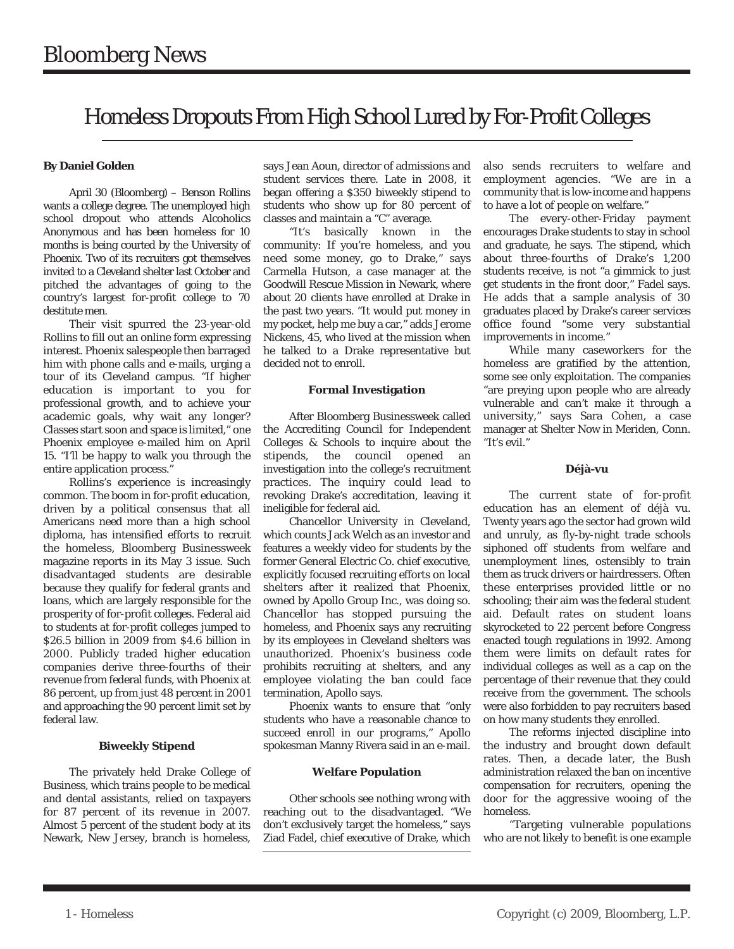# Homeless Dropouts From High School Lured by For-Profit Colleges

# **By Daniel Golden**

April 30 (Bloomberg) – Benson Rollins wants a college degree. The unemployed high school dropout who attends Alcoholics Anonymous and has been homeless for 10 months is being courted by the University of Phoenix. Two of its recruiters got themselves invited to a Cleveland shelter last October and pitched the advantages of going to the country's largest for-profit college to 70 destitute men.

Their visit spurred the 23-year-old Rollins to fill out an online form expressing interest. Phoenix salespeople then barraged him with phone calls and e-mails, urging a tour of its Cleveland campus. "If higher education is important to you for professional growth, and to achieve your academic goals, why wait any longer? Classes start soon and space is limited," one Phoenix employee e-mailed him on April 15. "I'll be happy to walk you through the entire application process."

Rollins's experience is increasingly common. The boom in for-profit education, driven by a political consensus that all Americans need more than a high school diploma, has intensified efforts to recruit the homeless, Bloomberg Businessweek magazine reports in its May 3 issue. Such disadvantaged students are desirable because they qualify for federal grants and loans, which are largely responsible for the prosperity of for-profit colleges. Federal aid to students at for-profit colleges jumped to \$26.5 billion in 2009 from \$4.6 billion in 2000. Publicly traded higher education companies derive three-fourths of their revenue from federal funds, with Phoenix at 86 percent, up from just 48 percent in 2001 and approaching the 90 percent limit set by federal law.

#### **Biweekly Stipend**

The privately held Drake College of Business, which trains people to be medical and dental assistants, relied on taxpayers for 87 percent of its revenue in 2007. Almost 5 percent of the student body at its Newark, New Jersey, branch is homeless, says Jean Aoun, director of admissions and student services there. Late in 2008, it began offering a \$350 biweekly stipend to students who show up for 80 percent of classes and maintain a "C" average.

"It's basically known in the community: If you're homeless, and you need some money, go to Drake," says Carmella Hutson, a case manager at the Goodwill Rescue Mission in Newark, where about 20 clients have enrolled at Drake in the past two years. "It would put money in my pocket, help me buy a car," adds Jerome Nickens, 45, who lived at the mission when he talked to a Drake representative but decided not to enroll.

#### **Formal Investigation**

After Bloomberg Businessweek called the Accrediting Council for Independent Colleges & Schools to inquire about the stipends, the council opened an investigation into the college's recruitment practices. The inquiry could lead to revoking Drake's accreditation, leaving it ineligible for federal aid.

Chancellor University in Cleveland, which counts Jack Welch as an investor and features a weekly video for students by the former General Electric Co. chief executive, explicitly focused recruiting efforts on local shelters after it realized that Phoenix, owned by Apollo Group Inc., was doing so. Chancellor has stopped pursuing the homeless, and Phoenix says any recruiting by its employees in Cleveland shelters was unauthorized. Phoenix's business code prohibits recruiting at shelters, and any employee violating the ban could face termination, Apollo says.

Phoenix wants to ensure that "only students who have a reasonable chance to succeed enroll in our programs," Apollo spokesman Manny Rivera said in an e-mail.

#### **Welfare Population**

Other schools see nothing wrong with reaching out to the disadvantaged. "We don't exclusively target the homeless," says Ziad Fadel, chief executive of Drake, which also sends recruiters to welfare and employment agencies. "We are in a community that is low-income and happens to have a lot of people on welfare."

The every-other-Friday payment encourages Drake students to stay in school and graduate, he says. The stipend, which about three-fourths of Drake's 1,200 students receive, is not "a gimmick to just get students in the front door," Fadel says. He adds that a sample analysis of 30 graduates placed by Drake's career services office found "some very substantial improvements in income."

While many caseworkers for the homeless are gratified by the attention, some see only exploitation. The companies "are preying upon people who are already vulnerable and can't make it through a university," says Sara Cohen, a case manager at Shelter Now in Meriden, Conn. "It's evil."

#### **Déjà-vu**

The current state of for-profit education has an element of déjà vu. Twenty years ago the sector had grown wild and unruly, as fly-by-night trade schools siphoned off students from welfare and unemployment lines, ostensibly to train them as truck drivers or hairdressers. Often these enterprises provided little or no schooling; their aim was the federal student aid. Default rates on student loans skyrocketed to 22 percent before Congress enacted tough regulations in 1992. Among them were limits on default rates for individual colleges as well as a cap on the percentage of their revenue that they could receive from the government. The schools were also forbidden to pay recruiters based on how many students they enrolled.

The reforms injected discipline into the industry and brought down default rates. Then, a decade later, the Bush administration relaxed the ban on incentive compensation for recruiters, opening the door for the aggressive wooing of the homeless.

"Targeting vulnerable populations who are not likely to benefit is one example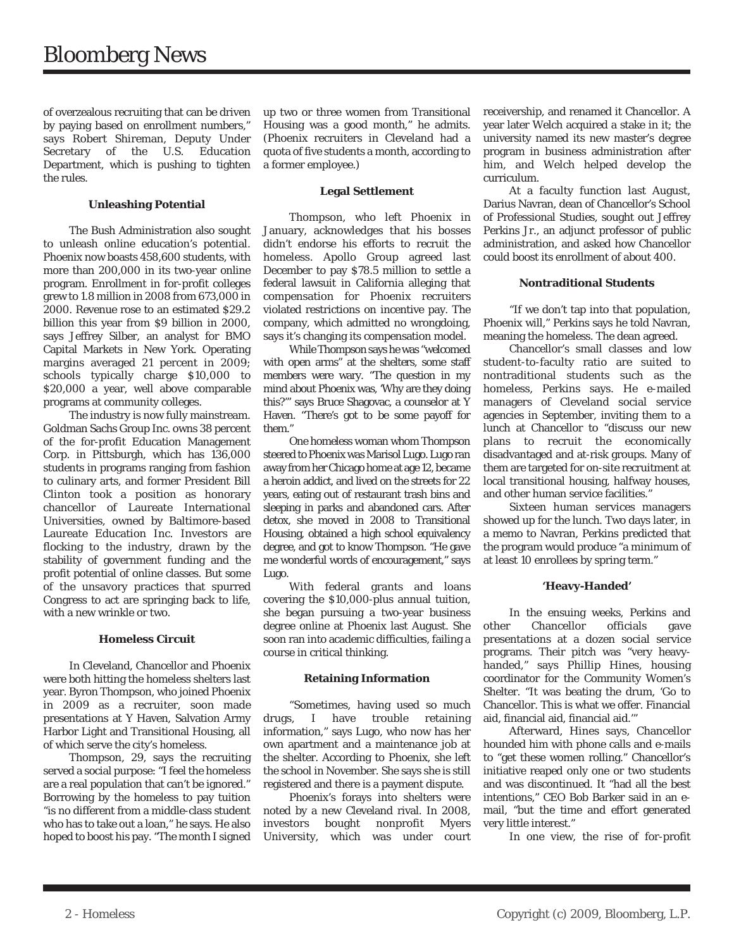of overzealous recruiting that can be driven by paying based on enrollment numbers," says Robert Shireman, Deputy Under Secretary of the U.S. Education Department, which is pushing to tighten the rules.

# **Unleashing Potential**

The Bush Administration also sought to unleash online education's potential. Phoenix now boasts 458,600 students, with more than 200,000 in its two-year online program. Enrollment in for-profit colleges grew to 1.8 million in 2008 from 673,000 in 2000. Revenue rose to an estimated \$29.2 billion this year from \$9 billion in 2000, says Jeffrey Silber, an analyst for BMO Capital Markets in New York. Operating margins averaged 21 percent in 2009; schools typically charge \$10,000 to \$20,000 a year, well above comparable programs at community colleges.

The industry is now fully mainstream. Goldman Sachs Group Inc. owns 38 percent of the for-profit Education Management Corp. in Pittsburgh, which has 136,000 students in programs ranging from fashion to culinary arts, and former President Bill Clinton took a position as honorary chancellor of Laureate International Universities, owned by Baltimore-based Laureate Education Inc. Investors are flocking to the industry, drawn by the stability of government funding and the profit potential of online classes. But some of the unsavory practices that spurred Congress to act are springing back to life, with a new wrinkle or two.

# **Homeless Circuit**

In Cleveland, Chancellor and Phoenix were both hitting the homeless shelters last year. Byron Thompson, who joined Phoenix in 2009 as a recruiter, soon made presentations at Y Haven, Salvation Army Harbor Light and Transitional Housing, all of which serve the city's homeless.

Thompson, 29, says the recruiting served a social purpose: "I feel the homeless are a real population that can't be ignored." Borrowing by the homeless to pay tuition "is no different from a middle-class student who has to take out a loan," he says. He also hoped to boost his pay. "The month I signed up two or three women from Transitional Housing was a good month," he admits. (Phoenix recruiters in Cleveland had a quota of five students a month, according to a former employee.)

# **Legal Settlement**

Thompson, who left Phoenix in January, acknowledges that his bosses didn't endorse his efforts to recruit the homeless. Apollo Group agreed last December to pay \$78.5 million to settle a federal lawsuit in California alleging that compensation for Phoenix recruiters violated restrictions on incentive pay. The company, which admitted no wrongdoing, says it's changing its compensation model.

While Thompson says he was "welcomed with open arms" at the shelters, some staff members were wary. "The question in my mind about Phoenix was, 'Why are they doing this?'" says Bruce Shagovac, a counselor at Y Haven. "There's got to be some payoff for them."

One homeless woman whom Thompson steered to Phoenix was Marisol Lugo. Lugo ran away from her Chicago home at age 12, became a heroin addict, and lived on the streets for 22 years, eating out of restaurant trash bins and sleeping in parks and abandoned cars. After detox, she moved in 2008 to Transitional Housing, obtained a high school equivalency degree, and got to know Thompson. "He gave me wonderful words of encouragement," says Lugo.

With federal grants and loans covering the \$10,000-plus annual tuition, she began pursuing a two-year business degree online at Phoenix last August. She soon ran into academic difficulties, failing a course in critical thinking.

#### **Retaining Information**

"Sometimes, having used so much drugs, I have trouble retaining information," says Lugo, who now has her own apartment and a maintenance job at the shelter. According to Phoenix, she left the school in November. She says she is still registered and there is a payment dispute.

Phoenix's forays into shelters were noted by a new Cleveland rival. In 2008, investors bought nonprofit Myers University, which was under court receivership, and renamed it Chancellor. A year later Welch acquired a stake in it; the university named its new master's degree program in business administration after him, and Welch helped develop the curriculum.

At a faculty function last August, Darius Navran, dean of Chancellor's School of Professional Studies, sought out Jeffrey Perkins Jr., an adjunct professor of public administration, and asked how Chancellor could boost its enrollment of about 400.

# **Nontraditional Students**

"If we don't tap into that population, Phoenix will," Perkins says he told Navran, meaning the homeless. The dean agreed.

Chancellor's small classes and low student-to-faculty ratio are suited to nontraditional students such as the homeless, Perkins says. He e-mailed managers of Cleveland social service agencies in September, inviting them to a lunch at Chancellor to "discuss our new plans to recruit the economically disadvantaged and at-risk groups. Many of them are targeted for on-site recruitment at local transitional housing, halfway houses, and other human service facilities."

Sixteen human services managers showed up for the lunch. Two days later, in a memo to Navran, Perkins predicted that the program would produce "a minimum of at least 10 enrollees by spring term."

#### **'Heavy-Handed'**

In the ensuing weeks, Perkins and other Chancellor officials gave presentations at a dozen social service programs. Their pitch was "very heavyhanded," says Phillip Hines, housing coordinator for the Community Women's Shelter. "It was beating the drum, 'Go to Chancellor. This is what we offer. Financial aid, financial aid, financial aid.'"

Afterward, Hines says, Chancellor hounded him with phone calls and e-mails to "get these women rolling." Chancellor's initiative reaped only one or two students and was discontinued. It "had all the best intentions," CEO Bob Barker said in an email, "but the time and effort generated very little interest."

In one view, the rise of for-profit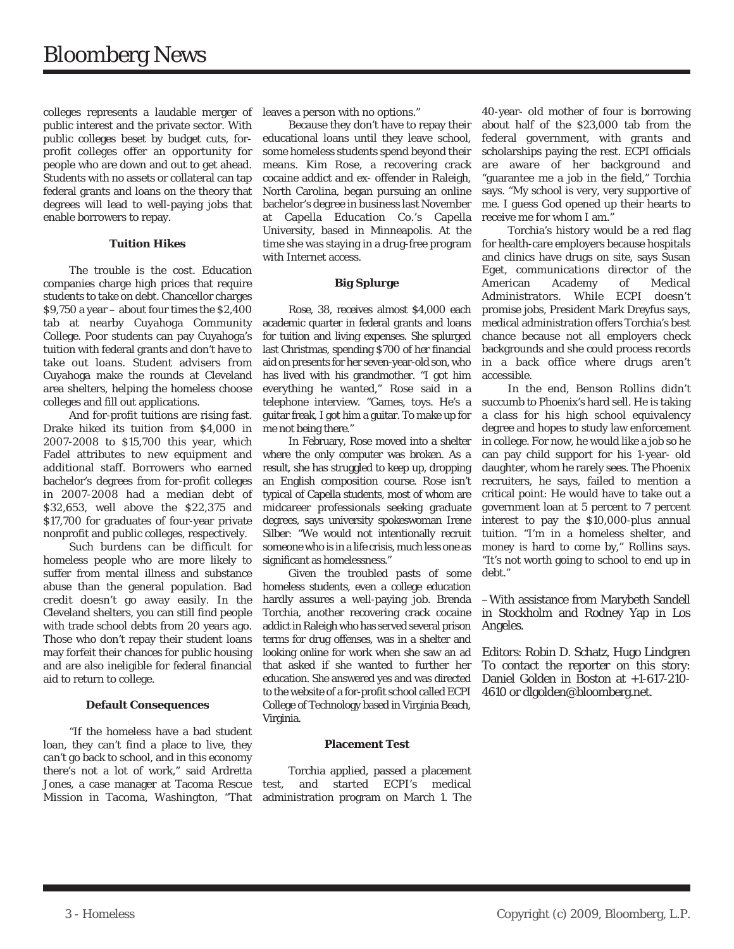colleges represents a laudable merger of public interest and the private sector. With public colleges beset by budget cuts, forprofit colleges offer an opportunity for people who are down and out to get ahead. Students with no assets or collateral can tap federal grants and loans on the theory that degrees will lead to well-paying jobs that enable borrowers to repay.

# **Tuition Hikes**

The trouble is the cost. Education companies charge high prices that require students to take on debt. Chancellor charges \$9,750 a year – about four times the \$2,400 tab at nearby Cuyahoga Community College. Poor students can pay Cuyahoga's tuition with federal grants and don't have to take out loans. Student advisers from Cuyahoga make the rounds at Cleveland area shelters, helping the homeless choose colleges and fill out applications.

And for-profit tuitions are rising fast. Drake hiked its tuition from \$4,000 in 2007-2008 to \$15,700 this year, which Fadel attributes to new equipment and additional staff. Borrowers who earned bachelor's degrees from for-profit colleges in 2007-2008 had a median debt of \$32,653, well above the \$22,375 and \$17,700 for graduates of four-year private nonprofit and public colleges, respectively.

Such burdens can be difficult for homeless people who are more likely to suffer from mental illness and substance abuse than the general population. Bad credit doesn't go away easily. In the Cleveland shelters, you can still find people with trade school debts from 20 years ago. Those who don't repay their student loans may forfeit their chances for public housing and are also ineligible for federal financial aid to return to college.

#### **Default Consequences**

"If the homeless have a bad student loan, they can't find a place to live, they can't go back to school, and in this economy there's not a lot of work," said Ardretta Jones, a case manager at Tacoma Rescue Mission in Tacoma, Washington, "That

leaves a person with no options."

Because they don't have to repay their educational loans until they leave school, some homeless students spend beyond their means. Kim Rose, a recovering crack cocaine addict and ex- offender in Raleigh, North Carolina, began pursuing an online bachelor's degree in business last November at Capella Education Co.'s Capella University, based in Minneapolis. At the time she was staying in a drug-free program with Internet access.

#### **Big Splurge**

Rose, 38, receives almost \$4,000 each academic quarter in federal grants and loans for tuition and living expenses. She splurged last Christmas, spending \$700 of her financial aid on presents for her seven-year-old son, who has lived with his grandmother. "I got him everything he wanted," Rose said in a telephone interview. "Games, toys. He's a guitar freak, I got him a guitar. To make up for me not being there."

In February, Rose moved into a shelter where the only computer was broken. As a result, she has struggled to keep up, dropping an English composition course. Rose isn't typical of Capella students, most of whom are midcareer professionals seeking graduate degrees, says university spokeswoman Irene Silber: "We would not intentionally recruit someone who is in a life crisis, much less one as significant as homelessness."

Given the troubled pasts of some homeless students, even a college education hardly assures a well-paying job. Brenda Torchia, another recovering crack cocaine addict in Raleigh who has served several prison terms for drug offenses, was in a shelter and looking online for work when she saw an ad that asked if she wanted to further her education. She answered yes and was directed to the website of a for-profit school called ECPI College of Technology based in Virginia Beach, Virginia.

# **Placement Test**

Torchia applied, passed a placement test, and started ECPI's medical administration program on March 1. The

40-year- old mother of four is borrowing about half of the \$23,000 tab from the federal government, with grants and scholarships paying the rest. ECPI officials are aware of her background and "guarantee me a job in the field," Torchia says. "My school is very, very supportive of me. I guess God opened up their hearts to receive me for whom I am."

Torchia's history would be a red flag for health-care employers because hospitals and clinics have drugs on site, says Susan Eget, communications director of the<br>American Academy of Medical American Administrators. While ECPI doesn't promise jobs, President Mark Dreyfus says, medical administration offers Torchia's best chance because not all employers check backgrounds and she could process records in a back office where drugs aren't accessible.

In the end, Benson Rollins didn't succumb to Phoenix's hard sell. He is taking a class for his high school equivalency degree and hopes to study law enforcement in college. For now, he would like a job so he can pay child support for his 1-year- old daughter, whom he rarely sees. The Phoenix recruiters, he says, failed to mention a critical point: He would have to take out a government loan at 5 percent to 7 percent interest to pay the \$10,000-plus annual tuition. "I'm in a homeless shelter, and money is hard to come by," Rollins says. "It's not worth going to school to end up in debt."

–With assistance from Marybeth Sandell in Stockholm and Rodney Yap in Los Angeles.

Editors: Robin D. Schatz, Hugo Lindgren To contact the reporter on this story: Daniel Golden in Boston at +1-617-210- 4610 or dlgolden@bloomberg.net.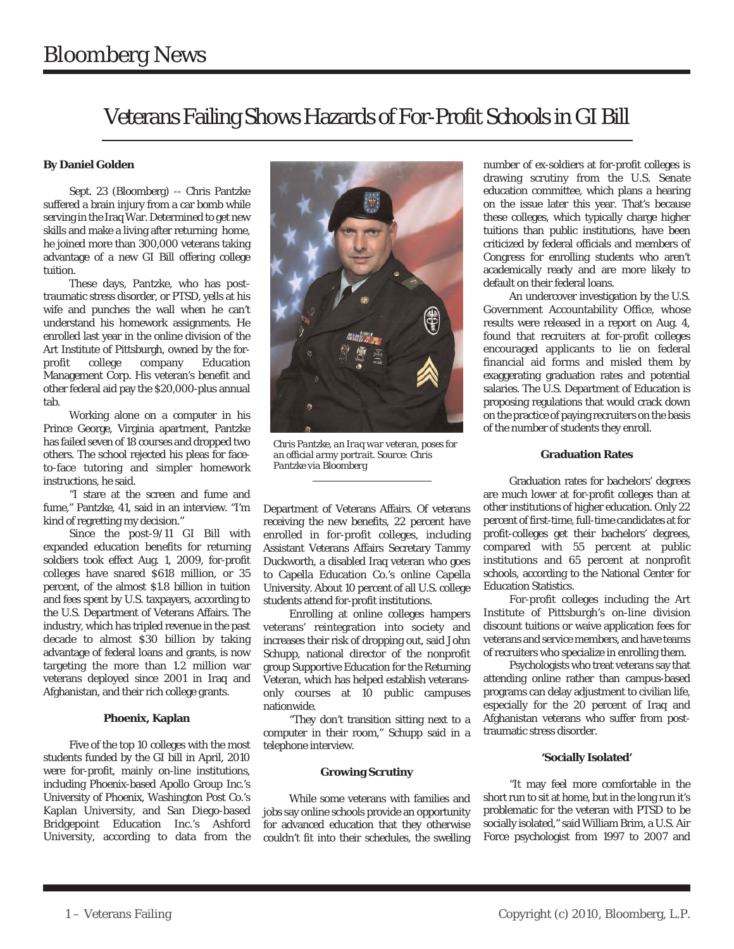# Veterans Failing Shows Hazards of For-Profit Schools in GI Bill

# **By Daniel Golden**

Sept. 23 (Bloomberg) -- Chris Pantzke suffered a brain injury from a car bomb while serving in the Iraq War. Determined to get new skills and make a living after returning home, he joined more than 300,000 veterans taking advantage of a new GI Bill offering college tuition.

These days, Pantzke, who has posttraumatic stress disorder, or PTSD, yells at his wife and punches the wall when he can't understand his homework assignments. He enrolled last year in the online division of the Art Institute of Pittsburgh, owned by the forprofit college company Education Management Corp. His veteran's benefit and other federal aid pay the \$20,000-plus annual tab.

Working alone on a computer in his Prince George, Virginia apartment, Pantzke has failed seven of 18 courses and dropped two others. The school rejected his pleas for faceto-face tutoring and simpler homework instructions, he said.

"I stare at the screen and fume and fume," Pantzke, 41, said in an interview. "I'm kind of regretting my decision."

Since the post-9/11 GI Bill with expanded education benefits for returning soldiers took effect Aug. 1, 2009, for-profit colleges have snared \$618 million, or 35 percent, of the almost \$1.8 billion in tuition and fees spent by U.S. taxpayers, according to the U.S. Department of Veterans Affairs. The industry, which has tripled revenue in the past decade to almost \$30 billion by taking advantage of federal loans and grants, is now targeting the more than 1.2 million war veterans deployed since 2001 in Iraq and Afghanistan, and their rich college grants.

#### **Phoenix, Kaplan**

Five of the top 10 colleges with the most students funded by the GI bill in April, 2010 were for-profit, mainly on-line institutions, including Phoenix-based Apollo Group Inc.'s University of Phoenix, Washington Post Co.'s Kaplan University, and San Diego-based Bridgepoint Education Inc.'s Ashford University, according to data from the



*Chris Pantzke, an Iraq war veteran, poses for an official army portrait. Source: Chris Pantzke via Bloomberg* 

Department of Veterans Affairs. Of veterans receiving the new benefits, 22 percent have enrolled in for-profit colleges, including Assistant Veterans Affairs Secretary Tammy Duckworth, a disabled Iraq veteran who goes to Capella Education Co.'s online Capella University. About 10 percent of all U.S. college students attend for-profit institutions.

Enrolling at online colleges hampers veterans' reintegration into society and increases their risk of dropping out, said John Schupp, national director of the nonprofit group Supportive Education for the Returning Veteran, which has helped establish veteransonly courses at 10 public campuses nationwide.

"They don't transition sitting next to a computer in their room," Schupp said in a telephone interview.

# **Growing Scrutiny**

While some veterans with families and jobs say online schools provide an opportunity for advanced education that they otherwise couldn't fit into their schedules, the swelling

number of ex-soldiers at for-profit colleges is drawing scrutiny from the U.S. Senate education committee, which plans a hearing on the issue later this year. That's because these colleges, which typically charge higher tuitions than public institutions, have been criticized by federal officials and members of Congress for enrolling students who aren't academically ready and are more likely to default on their federal loans.

An undercover investigation by the U.S. Government Accountability Office, whose results were released in a report on Aug. 4, found that recruiters at for-profit colleges encouraged applicants to lie on federal financial aid forms and misled them by exaggerating graduation rates and potential salaries. The U.S. Department of Education is proposing regulations that would crack down on the practice of paying recruiters on the basis of the number of students they enroll.

#### **Graduation Rates**

Graduation rates for bachelors' degrees are much lower at for-profit colleges than at other institutions of higher education. Only 22 percent of first-time, full-time candidates at for profit-colleges get their bachelors' degrees, compared with 55 percent at public institutions and 65 percent at nonprofit schools, according to the National Center for Education Statistics.

For-profit colleges including the Art Institute of Pittsburgh's on-line division discount tuitions or waive application fees for veterans and service members, and have teams of recruiters who specialize in enrolling them.

Psychologists who treat veterans say that attending online rather than campus-based programs can delay adjustment to civilian life, especially for the 20 percent of Iraq and Afghanistan veterans who suffer from posttraumatic stress disorder.

# **'Socially Isolated'**

"It may feel more comfortable in the short run to sit at home, but in the long run it's problematic for the veteran with PTSD to be socially isolated," said William Brim, a U.S. Air Force psychologist from 1997 to 2007 and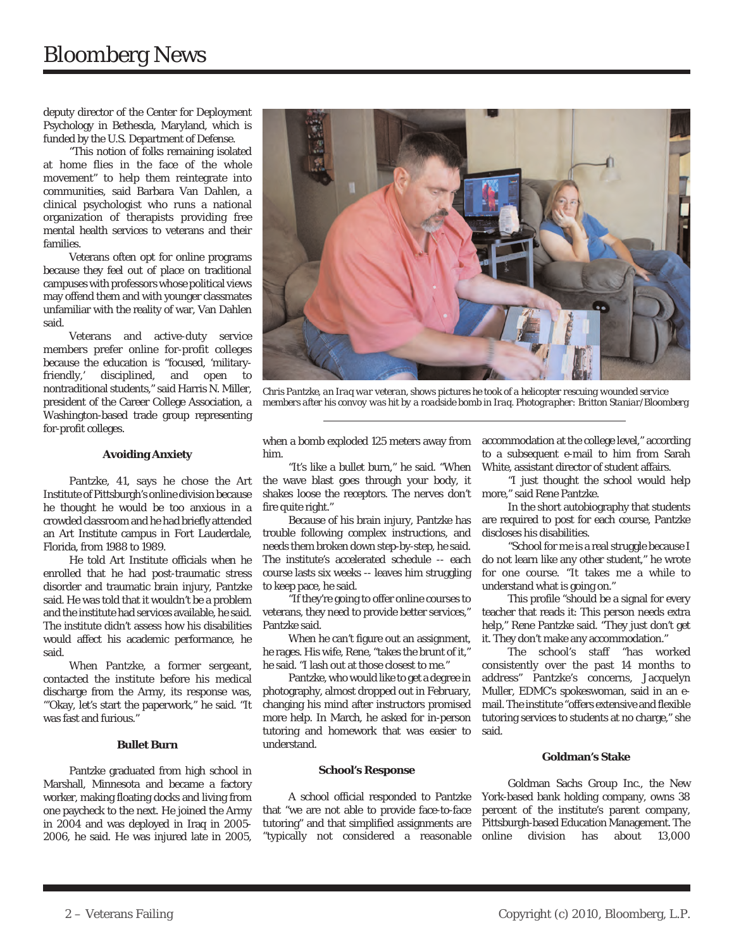deputy director of the Center for Deployment Psychology in Bethesda, Maryland, which is funded by the U.S. Department of Defense.

"This notion of folks remaining isolated at home flies in the face of the whole movement" to help them reintegrate into communities, said Barbara Van Dahlen, a clinical psychologist who runs a national organization of therapists providing free mental health services to veterans and their families.

Veterans often opt for online programs because they feel out of place on traditional campuses with professors whose political views may offend them and with younger classmates unfamiliar with the reality of war, Van Dahlen said.

Veterans and active-duty service members prefer online for-profit colleges because the education is "focused, 'militaryfriendly,' disciplined, and open to nontraditional students," said Harris N. Miller, president of the Career College Association, a Washington-based trade group representing for-profit colleges.

#### **Avoiding Anxiety**

Pantzke, 41, says he chose the Art Institute of Pittsburgh's online division because he thought he would be too anxious in a crowded classroom and he had briefly attended an Art Institute campus in Fort Lauderdale, Florida, from 1988 to 1989.

He told Art Institute officials when he enrolled that he had post-traumatic stress disorder and traumatic brain injury, Pantzke said. He was told that it wouldn't be a problem and the institute had services available, he said. The institute didn't assess how his disabilities would affect his academic performance, he said.

When Pantzke, a former sergeant, contacted the institute before his medical discharge from the Army, its response was, "'Okay, let's start the paperwork," he said. "It was fast and furious."

# **Bullet Burn**

Pantzke graduated from high school in Marshall, Minnesota and became a factory worker, making floating docks and living from one paycheck to the next. He joined the Army in 2004 and was deployed in Iraq in 2005- 2006, he said. He was injured late in 2005,



*Chris Pantzke, an Iraq war veteran, shows pictures he took of a helicopter rescuing wounded service members after his convoy was hit by a roadside bomb in Iraq. Photographer: Britton Staniar/Bloomberg*

when a bomb exploded 125 meters away from him.

"It's like a bullet burn," he said. "When the wave blast goes through your body, it shakes loose the receptors. The nerves don't fire quite right."

Because of his brain injury, Pantzke has trouble following complex instructions, and needs them broken down step-by-step, he said. The institute's accelerated schedule -- each course lasts six weeks -- leaves him struggling to keep pace, he said.

"If they're going to offer online courses to veterans, they need to provide better services," Pantzke said.

When he can't figure out an assignment, he rages. His wife, Rene, "takes the brunt of it," he said. "I lash out at those closest to me."

Pantzke, who would like to get a degree in photography, almost dropped out in February, changing his mind after instructors promised more help. In March, he asked for in-person tutoring and homework that was easier to understand.

#### **School's Response**

A school official responded to Pantzke that "we are not able to provide face-to-face tutoring" and that simplified assignments are "typically not considered a reasonable accommodation at the college level," according to a subsequent e-mail to him from Sarah White, assistant director of student affairs.

"I just thought the school would help more," said Rene Pantzke.

In the short autobiography that students are required to post for each course, Pantzke discloses his disabilities.

"School for me is a real struggle because I do not learn like any other student," he wrote for one course. "It takes me a while to understand what is going on."

This profile "should be a signal for every teacher that reads it: This person needs extra help," Rene Pantzke said. "They just don't get it. They don't make any accommodation."

The school's staff "has worked consistently over the past 14 months to address" Pantzke's concerns, Jacquelyn Muller, EDMC's spokeswoman, said in an email. The institute "offers extensive and flexible tutoring services to students at no charge," she said.

# **Goldman's Stake**

Goldman Sachs Group Inc., the New York-based bank holding company, owns 38 percent of the institute's parent company, Pittsburgh-based Education Management. The online division has about 13,000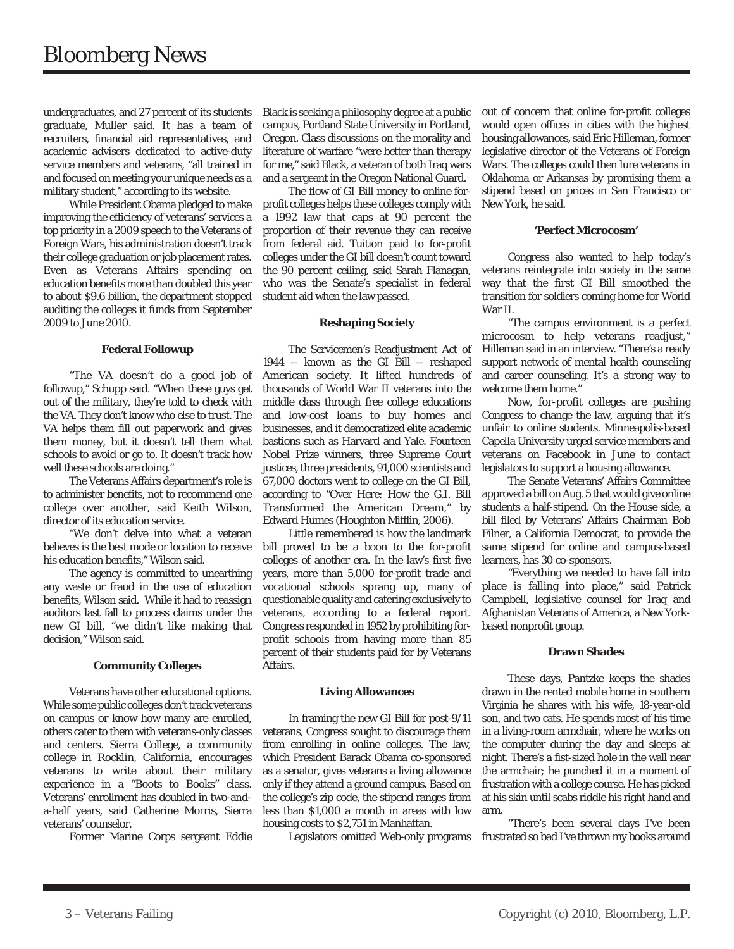undergraduates, and 27 percent of its students graduate, Muller said. It has a team of recruiters, financial aid representatives, and academic advisers dedicated to active-duty service members and veterans, "all trained in and focused on meeting your unique needs as a military student," according to its website.

While President Obama pledged to make improving the efficiency of veterans' services a top priority in a 2009 speech to the Veterans of Foreign Wars, his administration doesn't track their college graduation or job placement rates. Even as Veterans Affairs spending on education benefits more than doubled this year to about \$9.6 billion, the department stopped auditing the colleges it funds from September 2009 to June 2010.

# **Federal Followup**

"The VA doesn't do a good job of followup," Schupp said. "When these guys get out of the military, they're told to check with the VA. They don't know who else to trust. The VA helps them fill out paperwork and gives them money, but it doesn't tell them what schools to avoid or go to. It doesn't track how well these schools are doing."

The Veterans Affairs department's role is to administer benefits, not to recommend one college over another, said Keith Wilson, director of its education service.

"We don't delve into what a veteran believes is the best mode or location to receive his education benefits," Wilson said.

The agency is committed to unearthing any waste or fraud in the use of education benefits, Wilson said. While it had to reassign auditors last fall to process claims under the new GI bill, "we didn't like making that decision," Wilson said.

# **Community Colleges**

Veterans have other educational options. While some public colleges don't track veterans on campus or know how many are enrolled, others cater to them with veterans-only classes and centers. Sierra College, a community college in Rocklin, California, encourages veterans to write about their military experience in a "Boots to Books" class. Veterans' enrollment has doubled in two-anda-half years, said Catherine Morris, Sierra veterans' counselor.

Former Marine Corps sergeant Eddie

Black is seeking a philosophy degree at a public campus, Portland State University in Portland, Oregon. Class discussions on the morality and literature of warfare "were better than therapy for me," said Black, a veteran of both Iraq wars and a sergeant in the Oregon National Guard.

The flow of GI Bill money to online forprofit colleges helps these colleges comply with a 1992 law that caps at 90 percent the proportion of their revenue they can receive from federal aid. Tuition paid to for-profit colleges under the GI bill doesn't count toward the 90 percent ceiling, said Sarah Flanagan, who was the Senate's specialist in federal student aid when the law passed.

# **Reshaping Society**

The Servicemen's Readjustment Act of 1944 -- known as the GI Bill -- reshaped American society. It lifted hundreds of thousands of World War II veterans into the middle class through free college educations and low-cost loans to buy homes and businesses, and it democratized elite academic bastions such as Harvard and Yale. Fourteen Nobel Prize winners, three Supreme Court justices, three presidents, 91,000 scientists and 67,000 doctors went to college on the GI Bill, according to "Over Here: How the G.I. Bill Transformed the American Dream," by Edward Humes (Houghton Mifflin, 2006).

Little remembered is how the landmark bill proved to be a boon to the for-profit colleges of another era. In the law's first five years, more than 5,000 for-profit trade and vocational schools sprang up, many of questionable quality and catering exclusively to veterans, according to a federal report. Congress responded in 1952 by prohibiting forprofit schools from having more than 85 percent of their students paid for by Veterans Affairs.

#### **Living Allowances**

In framing the new GI Bill for post-9/11 veterans, Congress sought to discourage them from enrolling in online colleges. The law, which President Barack Obama co-sponsored as a senator, gives veterans a living allowance only if they attend a ground campus. Based on the college's zip code, the stipend ranges from less than \$1,000 a month in areas with low housing costs to \$2,751 in Manhattan.

Legislators omitted Web-only programs

out of concern that online for-profit colleges would open offices in cities with the highest housing allowances, said Eric Hilleman, former legislative director of the Veterans of Foreign Wars. The colleges could then lure veterans in Oklahoma or Arkansas by promising them a stipend based on prices in San Francisco or New York, he said.

#### **'Perfect Microcosm'**

Congress also wanted to help today's veterans reintegrate into society in the same way that the first GI Bill smoothed the transition for soldiers coming home for World War II.

"The campus environment is a perfect microcosm to help veterans readjust," Hilleman said in an interview. "There's a ready support network of mental health counseling and career counseling. It's a strong way to welcome them home."

Now, for-profit colleges are pushing Congress to change the law, arguing that it's unfair to online students. Minneapolis-based Capella University urged service members and veterans on Facebook in June to contact legislators to support a housing allowance.

The Senate Veterans' Affairs Committee approved a bill on Aug. 5 that would give online students a half-stipend. On the House side, a bill filed by Veterans' Affairs Chairman Bob Filner, a California Democrat, to provide the same stipend for online and campus-based learners, has 30 co-sponsors.

"Everything we needed to have fall into place is falling into place," said Patrick Campbell, legislative counsel for Iraq and Afghanistan Veterans of America, a New Yorkbased nonprofit group.

#### **Drawn Shades**

These days, Pantzke keeps the shades drawn in the rented mobile home in southern Virginia he shares with his wife, 18-year-old son, and two cats. He spends most of his time in a living-room armchair, where he works on the computer during the day and sleeps at night. There's a fist-sized hole in the wall near the armchair; he punched it in a moment of frustration with a college course. He has picked at his skin until scabs riddle his right hand and arm.

"There's been several days I've been frustrated so bad I've thrown my books around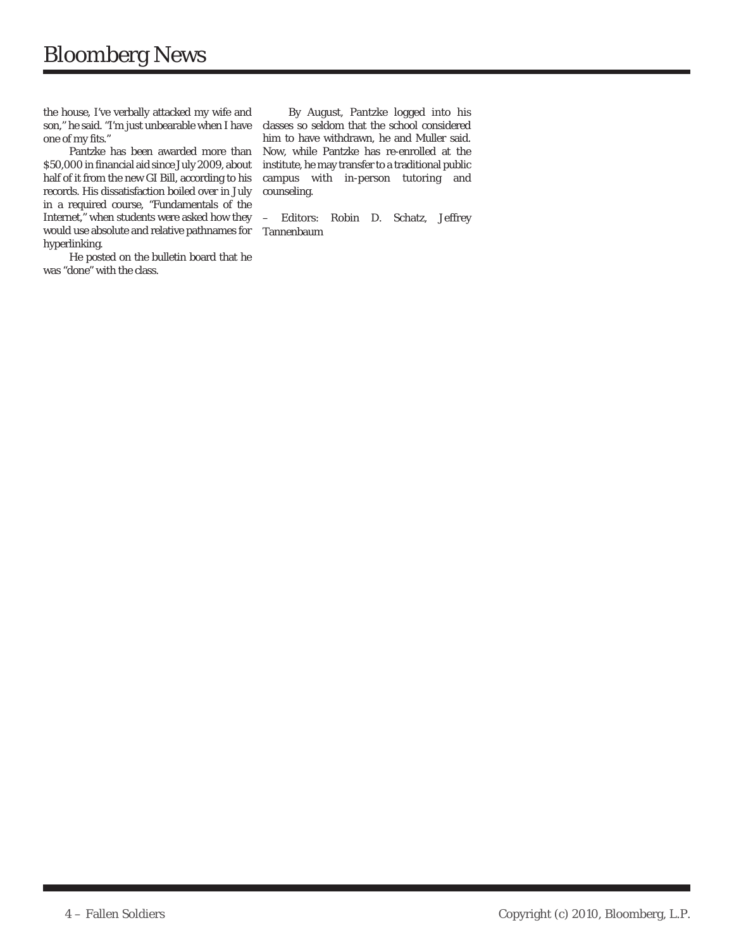the house, I've verbally attacked my wife and son," he said. "I'm just unbearable when I have one of my fits."

Pantzke has been awarded more than \$50,000 in financial aid since July 2009, about half of it from the new GI Bill, according to his records. His dissatisfaction boiled over in July in a required course, "Fundamentals of the Internet," when students were asked how they would use absolute and relative pathnames for hyperlinking.

He posted on the bulletin board that he was "done" with the class.

By August, Pantzke logged into his classes so seldom that the school considered him to have withdrawn, he and Muller said. Now, while Pantzke has re-enrolled at the institute, he may transfer to a traditional public campus with in-person tutoring and counseling.

– Editors: Robin D. Schatz, Jeffrey Tannenbaum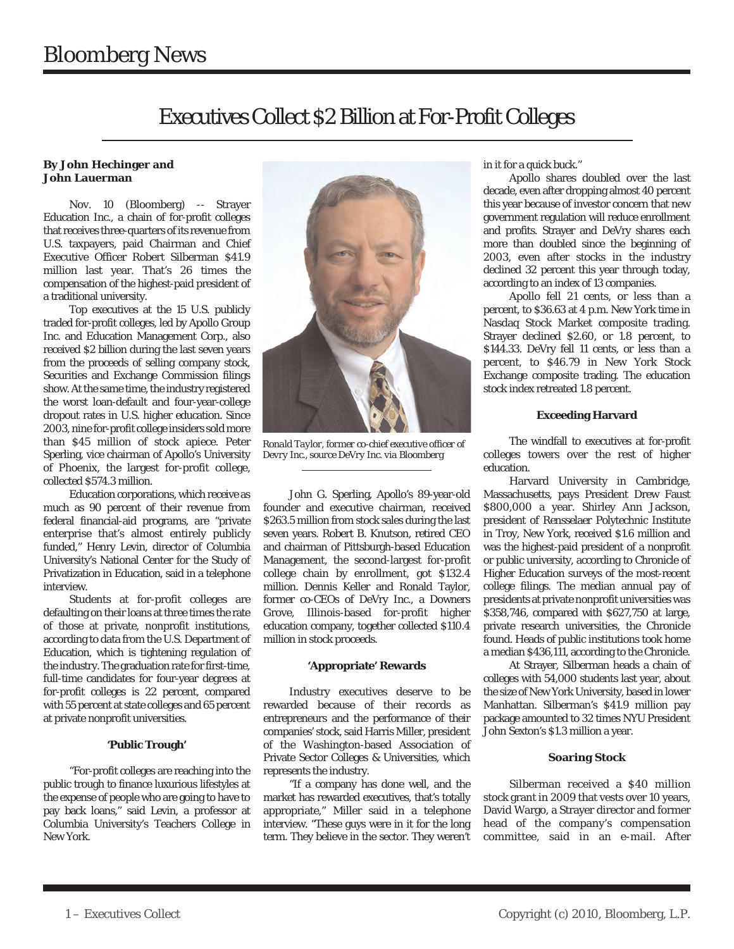# Executives Collect \$2 Billion at For-Profit Colleges

#### **By John Hechinger and John Lauerman**

Nov. 10 (Bloomberg) -- Strayer Education Inc., a chain of for-profit colleges that receives three-quarters of its revenue from U.S. taxpayers, paid Chairman and Chief Executive Officer Robert Silberman \$41.9 million last year. That's 26 times the compensation of the highest-paid president of a traditional university.

Top executives at the 15 U.S. publicly traded for-profit colleges, led by Apollo Group Inc. and Education Management Corp., also received \$2 billion during the last seven years from the proceeds of selling company stock, Securities and Exchange Commission filings show. At the same time, the industry registered the worst loan-default and four-year-college dropout rates in U.S. higher education. Since 2003, nine for-profit college insiders sold more than \$45 million of stock apiece. Peter Sperling, vice chairman of Apollo's University of Phoenix, the largest for-profit college, collected \$574.3 million.

Education corporations, which receive as much as 90 percent of their revenue from federal financial-aid programs, are "private enterprise that's almost entirely publicly funded," Henry Levin, director of Columbia University's National Center for the Study of Privatization in Education, said in a telephone interview.

Students at for-profit colleges are defaulting on their loans at three times the rate of those at private, nonprofit institutions, according to data from the U.S. Department of Education, which is tightening regulation of the industry. The graduation rate for first-time, full-time candidates for four-year degrees at for-profit colleges is 22 percent, compared with 55 percent at state colleges and 65 percent at private nonprofit universities.

# **'Public Trough'**

"For-profit colleges are reaching into the public trough to finance luxurious lifestyles at the expense of people who are going to have to pay back loans," said Levin, a professor at Columbia University's Teachers College in New York.



*Ronald Taylor, former co-chief executive officer of Devry Inc., source DeVry Inc. via Bloomberg* 

John G. Sperling, Apollo's 89-year-old founder and executive chairman, received \$263.5 million from stock sales during the last seven years. Robert B. Knutson, retired CEO and chairman of Pittsburgh-based Education Management, the second-largest for-profit college chain by enrollment, got \$132.4 million. Dennis Keller and Ronald Taylor, former co-CEOs of DeVry Inc., a Downers Grove, Illinois-based for-profit higher education company, together collected \$110.4 million in stock proceeds.

#### **'Appropriate' Rewards**

Industry executives deserve to be rewarded because of their records as entrepreneurs and the performance of their companies' stock, said Harris Miller, president of the Washington-based Association of Private Sector Colleges & Universities, which represents the industry.

"If a company has done well, and the market has rewarded executives, that's totally appropriate," Miller said in a telephone interview. "These guys were in it for the long term. They believe in the sector. They weren't in it for a quick buck."

Apollo shares doubled over the last decade, even after dropping almost 40 percent this year because of investor concern that new government regulation will reduce enrollment and profits. Strayer and DeVry shares each more than doubled since the beginning of 2003, even after stocks in the industry declined 32 percent this year through today, according to an index of 13 companies.

Apollo fell 21 cents, or less than a percent, to \$36.63 at 4 p.m. New York time in Nasdaq Stock Market composite trading. Strayer declined \$2.60, or 1.8 percent, to \$144.33. DeVry fell 11 cents, or less than a percent, to \$46.79 in New York Stock Exchange composite trading. The education stock index retreated 1.8 percent.

# **Exceeding Harvard**

The windfall to executives at for-profit colleges towers over the rest of higher education.

Harvard University in Cambridge, Massachusetts, pays President Drew Faust \$800,000 a year. Shirley Ann Jackson, president of Rensselaer Polytechnic Institute in Troy, New York, received \$1.6 million and was the highest-paid president of a nonprofit or public university, according to Chronicle of Higher Education surveys of the most-recent college filings. The median annual pay of presidents at private nonprofit universities was \$358,746, compared with \$627,750 at large, private research universities, the Chronicle found. Heads of public institutions took home a median \$436,111, according to the Chronicle.

At Strayer, Silberman heads a chain of colleges with 54,000 students last year, about the size of New York University, based in lower Manhattan. Silberman's \$41.9 million pay package amounted to 32 times NYU President John Sexton's \$1.3 million a year.

# **Soaring Stock**

Silberman received a \$40 million stock grant in 2009 that vests over 10 years, David Wargo, a Strayer director and former head of the company's compensation committee, said in an e-mail. After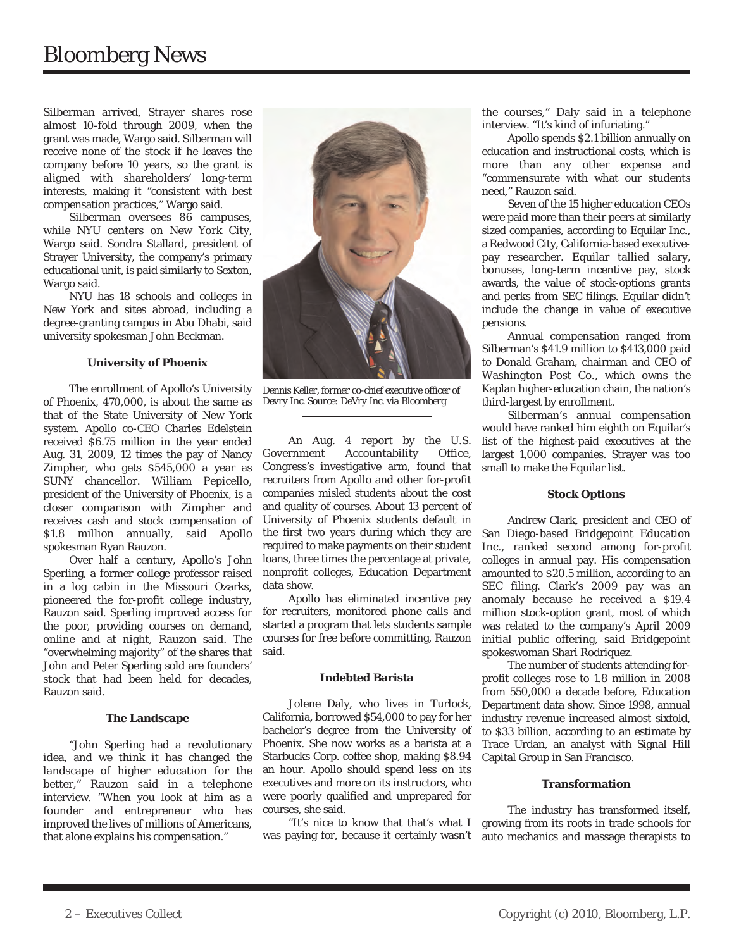Silberman arrived, Strayer shares rose almost 10-fold through 2009, when the grant was made, Wargo said. Silberman will receive none of the stock if he leaves the company before 10 years, so the grant is aligned with shareholders' long-term interests, making it "consistent with best compensation practices," Wargo said.

Silberman oversees 86 campuses, while NYU centers on New York City, Wargo said. Sondra Stallard, president of Strayer University, the company's primary educational unit, is paid similarly to Sexton, Wargo said.

NYU has 18 schools and colleges in New York and sites abroad, including a degree-granting campus in Abu Dhabi, said university spokesman John Beckman.

#### **University of Phoenix**

The enrollment of Apollo's University of Phoenix, 470,000, is about the same as that of the State University of New York system. Apollo co-CEO Charles Edelstein received \$6.75 million in the year ended Aug. 31, 2009, 12 times the pay of Nancy Zimpher, who gets \$545,000 a year as SUNY chancellor. William Pepicello, president of the University of Phoenix, is a closer comparison with Zimpher and receives cash and stock compensation of \$1.8 million annually, said Apollo spokesman Ryan Rauzon.

Over half a century, Apollo's John Sperling, a former college professor raised in a log cabin in the Missouri Ozarks, pioneered the for-profit college industry, Rauzon said. Sperling improved access for the poor, providing courses on demand, online and at night, Rauzon said. The "overwhelming majority" of the shares that John and Peter Sperling sold are founders' stock that had been held for decades, Rauzon said.

#### **The Landscape**

"John Sperling had a revolutionary idea, and we think it has changed the landscape of higher education for the better," Rauzon said in a telephone interview. "When you look at him as a founder and entrepreneur who has improved the lives of millions of Americans, that alone explains his compensation."



*Dennis Keller, former co-chief executive officer of Devry Inc. Source: DeVry Inc. via Bloomberg*

An Aug. 4 report by the U.S. Government Accountability Office, Congress's investigative arm, found that recruiters from Apollo and other for-profit companies misled students about the cost and quality of courses. About 13 percent of University of Phoenix students default in the first two years during which they are required to make payments on their student loans, three times the percentage at private, nonprofit colleges, Education Department data show.

Apollo has eliminated incentive pay for recruiters, monitored phone calls and started a program that lets students sample courses for free before committing, Rauzon said.

#### **Indebted Barista**

Jolene Daly, who lives in Turlock, California, borrowed \$54,000 to pay for her bachelor's degree from the University of Phoenix. She now works as a barista at a Starbucks Corp. coffee shop, making \$8.94 an hour. Apollo should spend less on its executives and more on its instructors, who were poorly qualified and unprepared for courses, she said.

"It's nice to know that that's what I was paying for, because it certainly wasn't

the courses," Daly said in a telephone interview. "It's kind of infuriating."

Apollo spends \$2.1 billion annually on education and instructional costs, which is more than any other expense and "commensurate with what our students need," Rauzon said.

Seven of the 15 higher education CEOs were paid more than their peers at similarly sized companies, according to Equilar Inc., a Redwood City, California-based executivepay researcher. Equilar tallied salary, bonuses, long-term incentive pay, stock awards, the value of stock-options grants and perks from SEC filings. Equilar didn't include the change in value of executive pensions.

Annual compensation ranged from Silberman's \$41.9 million to \$413,000 paid to Donald Graham, chairman and CEO of Washington Post Co., which owns the Kaplan higher-education chain, the nation's third-largest by enrollment.

Silberman's annual compensation would have ranked him eighth on Equilar's list of the highest-paid executives at the largest 1,000 companies. Strayer was too small to make the Equilar list.

# **Stock Options**

Andrew Clark, president and CEO of San Diego-based Bridgepoint Education Inc., ranked second among for-profit colleges in annual pay. His compensation amounted to \$20.5 million, according to an SEC filing. Clark's 2009 pay was an anomaly because he received a \$19.4 million stock-option grant, most of which was related to the company's April 2009 initial public offering, said Bridgepoint spokeswoman Shari Rodriquez.

The number of students attending forprofit colleges rose to 1.8 million in 2008 from 550,000 a decade before, Education Department data show. Since 1998, annual industry revenue increased almost sixfold, to \$33 billion, according to an estimate by Trace Urdan, an analyst with Signal Hill Capital Group in San Francisco.

#### **Transformation**

The industry has transformed itself, growing from its roots in trade schools for auto mechanics and massage therapists to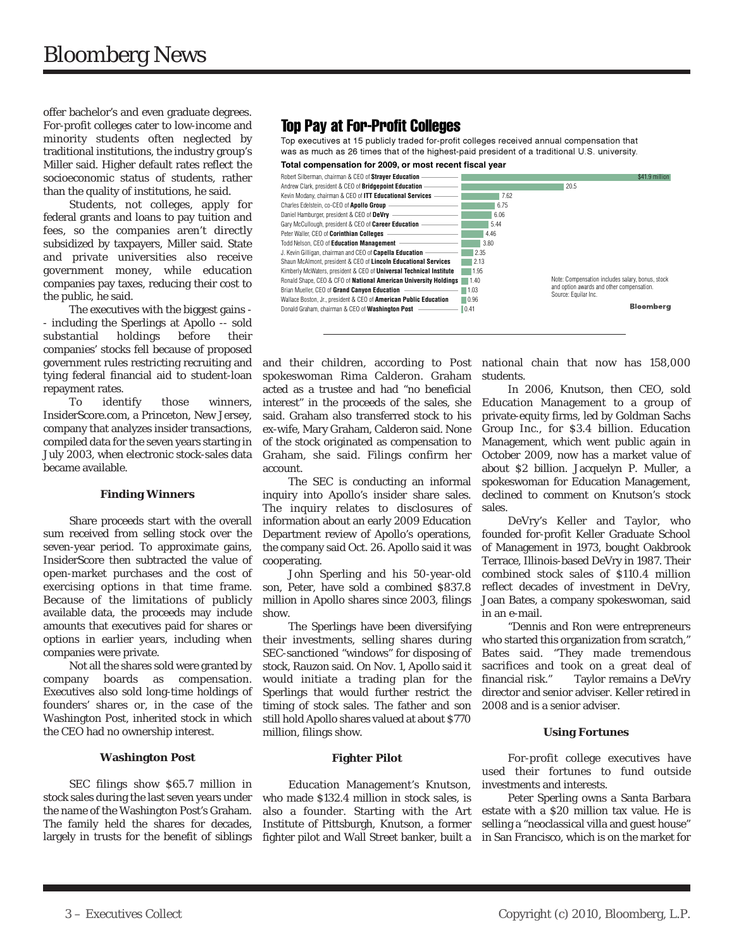offer bachelor's and even graduate degrees. For-profit colleges cater to low-income and minority students often neglected by traditional institutions, the industry group's Miller said. Higher default rates reflect the socioeconomic status of students, rather than the quality of institutions, he said.

Students, not colleges, apply for federal grants and loans to pay tuition and fees, so the companies aren't directly subsidized by taxpayers, Miller said. State and private universities also receive government money, while education companies pay taxes, reducing their cost to the public, he said.

The executives with the biggest gains - - including the Sperlings at Apollo -- sold<br>substantial holdings before their substantial holdings before their companies' stocks fell because of proposed government rules restricting recruiting and tying federal financial aid to student-loan repayment rates.

To identify those winners, InsiderScore.com, a Princeton, New Jersey, company that analyzes insider transactions, compiled data for the seven years starting in July 2003, when electronic stock-sales data became available.

#### **Finding Winners**

Share proceeds start with the overall sum received from selling stock over the seven-year period. To approximate gains, InsiderScore then subtracted the value of open-market purchases and the cost of exercising options in that time frame. Because of the limitations of publicly available data, the proceeds may include amounts that executives paid for shares or options in earlier years, including when companies were private.

Not all the shares sold were granted by company boards as compensation. Executives also sold long-time holdings of founders' shares or, in the case of the Washington Post, inherited stock in which the CEO had no ownership interest.

#### **Washington Post**

SEC filings show \$65.7 million in stock sales during the last seven years under the name of the Washington Post's Graham. The family held the shares for decades, largely in trusts for the benefit of siblings

# **Top Pay at For-Profit Colleges**

Top executives at 15 publicly traded for-profit colleges received annual compensation that was as much as 26 times that of the highest-paid president of a traditional U.S. university.



| Robert Silberman, chairman & CEO of Strayer Education -             |      |                                                                   | \$41.9 million   |
|---------------------------------------------------------------------|------|-------------------------------------------------------------------|------------------|
| Andrew Clark, president & CEO of <b>Bridgepoint Education</b>       |      | 20.5                                                              |                  |
| Kevin Modany, chairman & CEO of ITT Educational Services            | 7.62 |                                                                   |                  |
| Charles Edelstein, co-CEO of Apollo Group                           | 6.75 |                                                                   |                  |
| Daniel Hamburger, president & CEO of DeVrv                          | 6.06 |                                                                   |                  |
| Gary McCullough, president & CEO of Career Education                | 5.44 |                                                                   |                  |
| Peter Waller. CEO of Corinthian Colleges                            | 4.46 |                                                                   |                  |
| Todd Nelson, CEO of Education Management                            | 3.80 |                                                                   |                  |
| J. Kevin Gilligan, chairman and CEO of <b>Capella Education</b>     | 2.35 |                                                                   |                  |
| Shaun McAlmont, president & CEO of Lincoln Educational Services     | 2.13 |                                                                   |                  |
| Kimberly McWaters, president & CEO of Universal Technical Institute | 1.95 |                                                                   |                  |
| Ronald Shape. CEO & CFO of National American University Holdings    | 1.40 | Note: Compensation includes salary, bonus, stock                  |                  |
| Brian Mueller, CEO of Grand Canvon Education                        | 1.03 | and option awards and other compensation.<br>Source: Equilar Inc. |                  |
| Wallace Boston, Jr., president & CEO of American Public Education   | 0.96 |                                                                   |                  |
| Donald Graham, chairman & CEO of Washington Post                    | 0.41 |                                                                   | <b>Bloomberg</b> |
|                                                                     |      |                                                                   |                  |

and their children, according to Post spokeswoman Rima Calderon. Graham acted as a trustee and had "no beneficial interest" in the proceeds of the sales, she said. Graham also transferred stock to his ex-wife, Mary Graham, Calderon said. None of the stock originated as compensation to Graham, she said. Filings confirm her account.

The SEC is conducting an informal inquiry into Apollo's insider share sales. The inquiry relates to disclosures of information about an early 2009 Education Department review of Apollo's operations, the company said Oct. 26. Apollo said it was cooperating.

John Sperling and his 50-year-old son, Peter, have sold a combined \$837.8 million in Apollo shares since 2003, filings show.

The Sperlings have been diversifying their investments, selling shares during SEC-sanctioned "windows" for disposing of stock, Rauzon said. On Nov. 1, Apollo said it would initiate a trading plan for the Sperlings that would further restrict the timing of stock sales. The father and son still hold Apollo shares valued at about \$770 million, filings show.

#### **Fighter Pilot**

Education Management's Knutson, who made \$132.4 million in stock sales, is also a founder. Starting with the Art Institute of Pittsburgh, Knutson, a former fighter pilot and Wall Street banker, built a

national chain that now has 158,000 students.

In 2006, Knutson, then CEO, sold Education Management to a group of private-equity firms, led by Goldman Sachs Group Inc., for \$3.4 billion. Education Management, which went public again in October 2009, now has a market value of about \$2 billion. Jacquelyn P. Muller, a spokeswoman for Education Management, declined to comment on Knutson's stock sales.

DeVry's Keller and Taylor, who founded for-profit Keller Graduate School of Management in 1973, bought Oakbrook Terrace, Illinois-based DeVry in 1987. Their combined stock sales of \$110.4 million reflect decades of investment in DeVry, Joan Bates, a company spokeswoman, said in an e-mail.

"Dennis and Ron were entrepreneurs who started this organization from scratch," Bates said. "They made tremendous sacrifices and took on a great deal of financial risk." Taylor remains a DeVry director and senior adviser. Keller retired in 2008 and is a senior adviser.

#### **Using Fortunes**

For-profit college executives have used their fortunes to fund outside investments and interests.

Peter Sperling owns a Santa Barbara estate with a \$20 million tax value. He is selling a "neoclassical villa and guest house" in San Francisco, which is on the market for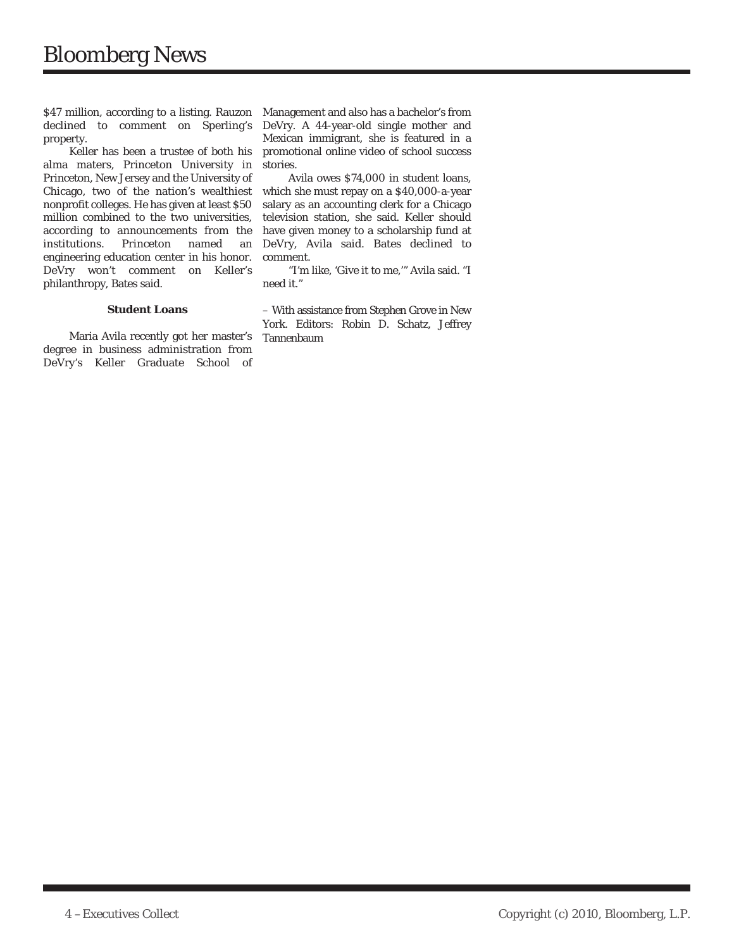\$47 million, according to a listing. Rauzon declined to comment on Sperling's property.

Keller has been a trustee of both his alma maters, Princeton University in Princeton, New Jersey and the University of Chicago, two of the nation's wealthiest nonprofit colleges. He has given at least \$50 million combined to the two universities, according to announcements from the institutions. Princeton named an engineering education center in his honor. DeVry won't comment on Keller's philanthropy, Bates said.

#### **Student Loans**

Maria Avila recently got her master's degree in business administration from DeVry's Keller Graduate School of

Management and also has a bachelor's from DeVry. A 44-year-old single mother and Mexican immigrant, she is featured in a promotional online video of school success stories.

Avila owes \$74,000 in student loans, which she must repay on a \$40,000-a-year salary as an accounting clerk for a Chicago television station, she said. Keller should have given money to a scholarship fund at DeVry, Avila said. Bates declined to comment.

"I'm like, 'Give it to me,'" Avila said. "I need it."

– With assistance from Stephen Grove in New York. Editors: Robin D. Schatz, Jeffrey Tannenbaum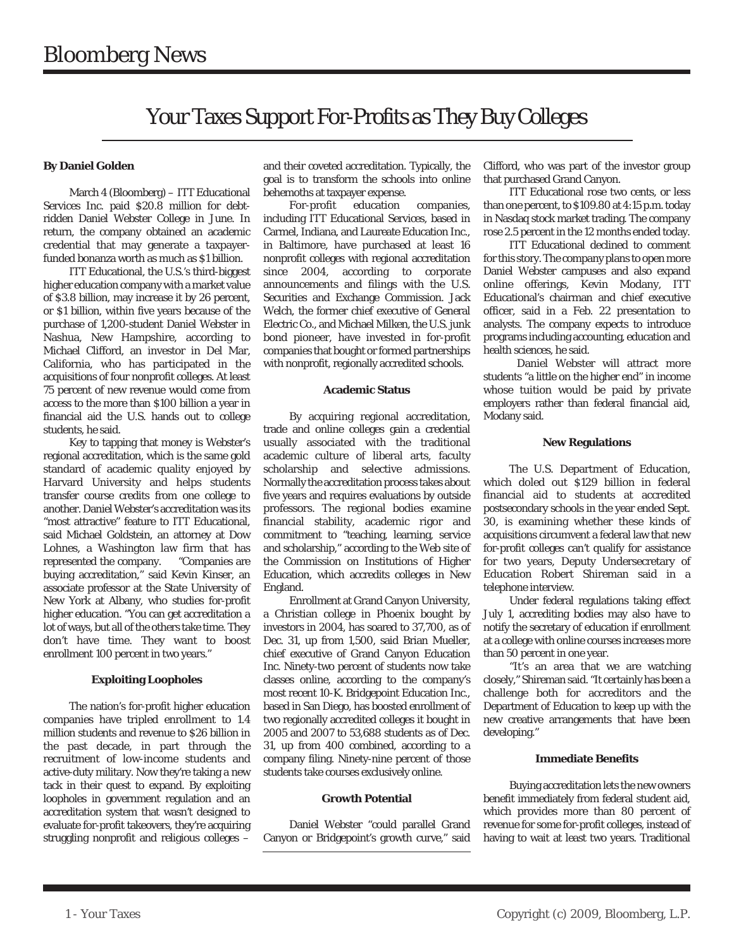# Your Taxes Support For-Profits as They Buy Colleges

#### **By Daniel Golden**

March 4 (Bloomberg) – ITT Educational Services Inc. paid \$20.8 million for debtridden Daniel Webster College in June. In return, the company obtained an academic credential that may generate a taxpayerfunded bonanza worth as much as \$1 billion.

ITT Educational, the U.S.'s third-biggest higher education company with a market value of \$3.8 billion, may increase it by 26 percent, or \$1 billion, within five years because of the purchase of 1,200-student Daniel Webster in Nashua, New Hampshire, according to Michael Clifford, an investor in Del Mar, California, who has participated in the acquisitions of four nonprofit colleges. At least 75 percent of new revenue would come from access to the more than \$100 billion a year in financial aid the U.S. hands out to college students, he said.

Key to tapping that money is Webster's regional accreditation, which is the same gold standard of academic quality enjoyed by Harvard University and helps students transfer course credits from one college to another. Daniel Webster's accreditation was its "most attractive" feature to ITT Educational, said Michael Goldstein, an attorney at Dow Lohnes, a Washington law firm that has represented the company. "Companies are buying accreditation," said Kevin Kinser, an associate professor at the State University of New York at Albany, who studies for-profit higher education. "You can get accreditation a lot of ways, but all of the others take time. They don't have time. They want to boost enrollment 100 percent in two years."

#### **Exploiting Loopholes**

The nation's for-profit higher education companies have tripled enrollment to 1.4 million students and revenue to \$26 billion in the past decade, in part through the recruitment of low-income students and active-duty military. Now they're taking a new tack in their quest to expand. By exploiting loopholes in government regulation and an accreditation system that wasn't designed to evaluate for-profit takeovers, they're acquiring struggling nonprofit and religious colleges –

and their coveted accreditation. Typically, the goal is to transform the schools into online behemoths at taxpayer expense.

For-profit education companies, including ITT Educational Services, based in Carmel, Indiana, and Laureate Education Inc., in Baltimore, have purchased at least 16 nonprofit colleges with regional accreditation since 2004, according to corporate announcements and filings with the U.S. Securities and Exchange Commission. Jack Welch, the former chief executive of General Electric Co., and Michael Milken, the U.S. junk bond pioneer, have invested in for-profit companies that bought or formed partnerships with nonprofit, regionally accredited schools.

# **Academic Status**

By acquiring regional accreditation, trade and online colleges gain a credential usually associated with the traditional academic culture of liberal arts, faculty scholarship and selective admissions. Normally the accreditation process takes about five years and requires evaluations by outside professors. The regional bodies examine financial stability, academic rigor and commitment to "teaching, learning, service and scholarship," according to the Web site of the Commission on Institutions of Higher Education, which accredits colleges in New England.

Enrollment at Grand Canyon University, a Christian college in Phoenix bought by investors in 2004, has soared to 37,700, as of Dec. 31, up from 1,500, said Brian Mueller, chief executive of Grand Canyon Education Inc. Ninety-two percent of students now take classes online, according to the company's most recent 10-K. Bridgepoint Education Inc., based in San Diego, has boosted enrollment of two regionally accredited colleges it bought in 2005 and 2007 to 53,688 students as of Dec. 31, up from 400 combined, according to a company filing. Ninety-nine percent of those students take courses exclusively online.

# **Growth Potential**

Daniel Webster "could parallel Grand Canyon or Bridgepoint's growth curve," said Clifford, who was part of the investor group that purchased Grand Canyon.

ITT Educational rose two cents, or less than one percent, to \$109.80 at 4:15 p.m. today in Nasdaq stock market trading. The company rose 2.5 percent in the 12 months ended today.

ITT Educational declined to comment for this story. The company plans to open more Daniel Webster campuses and also expand online offerings, Kevin Modany, ITT Educational's chairman and chief executive officer, said in a Feb. 22 presentation to analysts. The company expects to introduce programs including accounting, education and health sciences, he said.

Daniel Webster will attract more students "a little on the higher end" in income whose tuition would be paid by private employers rather than federal financial aid, Modany said.

#### **New Regulations**

The U.S. Department of Education, which doled out \$129 billion in federal financial aid to students at accredited postsecondary schools in the year ended Sept. 30, is examining whether these kinds of acquisitions circumvent a federal law that new for-profit colleges can't qualify for assistance for two years, Deputy Undersecretary of Education Robert Shireman said in a telephone interview.

Under federal regulations taking effect July 1, accrediting bodies may also have to notify the secretary of education if enrollment at a college with online courses increases more than 50 percent in one year.

"It's an area that we are watching closely," Shireman said. "It certainly has been a challenge both for accreditors and the Department of Education to keep up with the new creative arrangements that have been developing."

#### **Immediate Benefits**

Buying accreditation lets the new owners benefit immediately from federal student aid, which provides more than 80 percent of revenue for some for-profit colleges, instead of having to wait at least two years. Traditional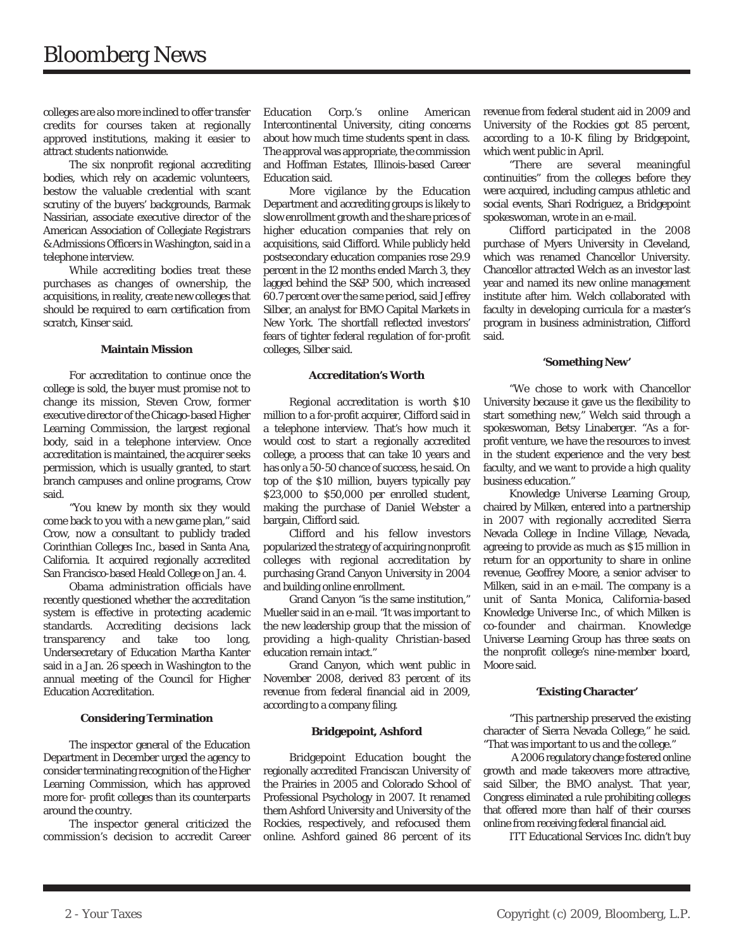colleges are also more inclined to offer transfer credits for courses taken at regionally approved institutions, making it easier to attract students nationwide.

The six nonprofit regional accrediting bodies, which rely on academic volunteers, bestow the valuable credential with scant scrutiny of the buyers' backgrounds, Barmak Nassirian, associate executive director of the American Association of Collegiate Registrars & Admissions Officers in Washington, said in a telephone interview.

While accrediting bodies treat these purchases as changes of ownership, the acquisitions, in reality, create new colleges that should be required to earn certification from scratch, Kinser said.

# **Maintain Mission**

For accreditation to continue once the college is sold, the buyer must promise not to change its mission, Steven Crow, former executive director of the Chicago-based Higher Learning Commission, the largest regional body, said in a telephone interview. Once accreditation is maintained, the acquirer seeks permission, which is usually granted, to start branch campuses and online programs, Crow said.

"You knew by month six they would come back to you with a new game plan," said Crow, now a consultant to publicly traded Corinthian Colleges Inc., based in Santa Ana, California. It acquired regionally accredited San Francisco-based Heald College on Jan. 4.

Obama administration officials have recently questioned whether the accreditation system is effective in protecting academic standards. Accrediting decisions lack transparency and take too long, Undersecretary of Education Martha Kanter said in a Jan. 26 speech in Washington to the annual meeting of the Council for Higher Education Accreditation.

#### **Considering Termination**

The inspector general of the Education Department in December urged the agency to consider terminating recognition of the Higher Learning Commission, which has approved more for- profit colleges than its counterparts around the country.

The inspector general criticized the commission's decision to accredit Career Education Corp.'s online American Intercontinental University, citing concerns about how much time students spent in class. The approval was appropriate, the commission and Hoffman Estates, Illinois-based Career Education said.

More vigilance by the Education Department and accrediting groups is likely to slow enrollment growth and the share prices of higher education companies that rely on acquisitions, said Clifford. While publicly held postsecondary education companies rose 29.9 percent in the 12 months ended March 3, they lagged behind the S&P 500, which increased 60.7 percent over the same period, said Jeffrey Silber, an analyst for BMO Capital Markets in New York. The shortfall reflected investors' fears of tighter federal regulation of for-profit colleges, Silber said.

#### **Accreditation's Worth**

Regional accreditation is worth \$10 million to a for-profit acquirer, Clifford said in a telephone interview. That's how much it would cost to start a regionally accredited college, a process that can take 10 years and has only a 50-50 chance of success, he said. On top of the \$10 million, buyers typically pay \$23,000 to \$50,000 per enrolled student, making the purchase of Daniel Webster a bargain, Clifford said.

Clifford and his fellow investors popularized the strategy of acquiring nonprofit colleges with regional accreditation by purchasing Grand Canyon University in 2004 and building online enrollment.

Grand Canyon "is the same institution," Mueller said in an e-mail. "It was important to the new leadership group that the mission of providing a high-quality Christian-based education remain intact."

Grand Canyon, which went public in November 2008, derived 83 percent of its revenue from federal financial aid in 2009, according to a company filing.

#### **Bridgepoint, Ashford**

Bridgepoint Education bought the regionally accredited Franciscan University of the Prairies in 2005 and Colorado School of Professional Psychology in 2007. It renamed them Ashford University and University of the Rockies, respectively, and refocused them online. Ashford gained 86 percent of its revenue from federal student aid in 2009 and University of the Rockies got 85 percent, according to a 10-K filing by Bridgepoint, which went public in April.

"There are several meaningful continuities" from the colleges before they were acquired, including campus athletic and social events, Shari Rodriguez, a Bridgepoint spokeswoman, wrote in an e-mail.

Clifford participated in the 2008 purchase of Myers University in Cleveland, which was renamed Chancellor University. Chancellor attracted Welch as an investor last year and named its new online management institute after him. Welch collaborated with faculty in developing curricula for a master's program in business administration, Clifford said.

#### **'Something New'**

"We chose to work with Chancellor University because it gave us the flexibility to start something new," Welch said through a spokeswoman, Betsy Linaberger. "As a forprofit venture, we have the resources to invest in the student experience and the very best faculty, and we want to provide a high quality business education."

Knowledge Universe Learning Group, chaired by Milken, entered into a partnership in 2007 with regionally accredited Sierra Nevada College in Incline Village, Nevada, agreeing to provide as much as \$15 million in return for an opportunity to share in online revenue, Geoffrey Moore, a senior adviser to Milken, said in an e-mail. The company is a unit of Santa Monica, California-based Knowledge Universe Inc., of which Milken is co-founder and chairman. Knowledge Universe Learning Group has three seats on the nonprofit college's nine-member board, Moore said.

#### **'Existing Character'**

"This partnership preserved the existing character of Sierra Nevada College," he said. "That was important to us and the college."

A2006 regulatory change fostered online growth and made takeovers more attractive, said Silber, the BMO analyst. That year, Congress eliminated a rule prohibiting colleges that offered more than half of their courses online from receiving federal financial aid.

ITT Educational Services Inc. didn't buy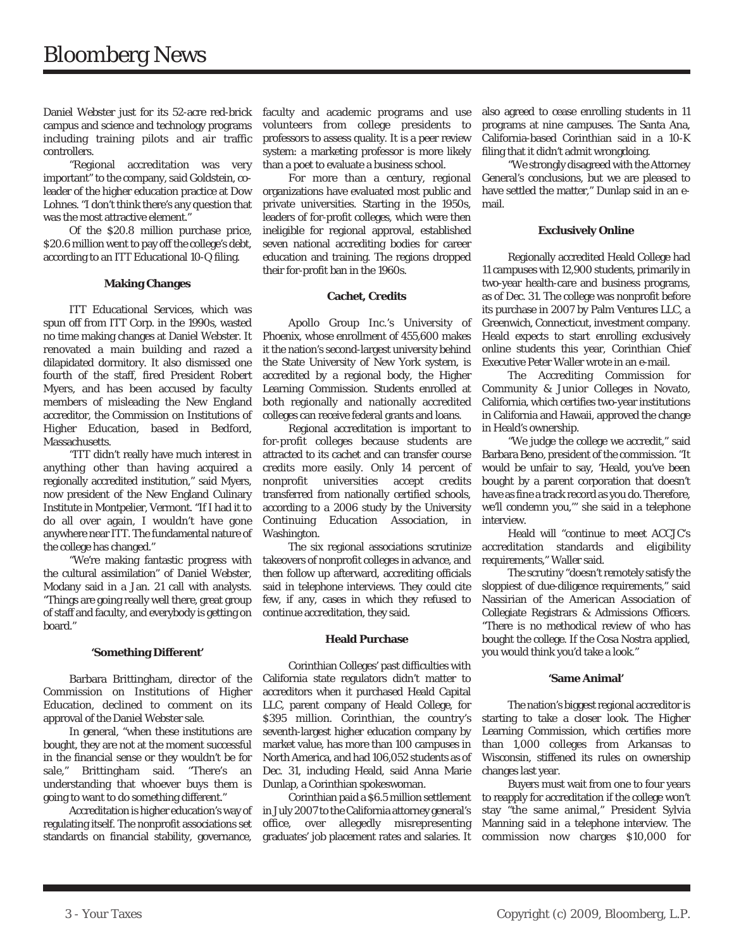Daniel Webster just for its 52-acre red-brick campus and science and technology programs including training pilots and air traffic controllers.

"Regional accreditation was very important" to the company, said Goldstein, coleader of the higher education practice at Dow Lohnes. "I don't think there's any question that was the most attractive element."

Of the \$20.8 million purchase price, \$20.6 million went to pay off the college's debt, according to an ITT Educational 10-Q filing.

#### **Making Changes**

ITT Educational Services, which was spun off from ITT Corp. in the 1990s, wasted no time making changes at Daniel Webster. It renovated a main building and razed a dilapidated dormitory. It also dismissed one fourth of the staff, fired President Robert Myers, and has been accused by faculty members of misleading the New England accreditor, the Commission on Institutions of Higher Education, based in Bedford, Massachusetts.

"ITT didn't really have much interest in anything other than having acquired a regionally accredited institution," said Myers, now president of the New England Culinary Institute in Montpelier, Vermont. "If I had it to do all over again, I wouldn't have gone anywhere near ITT. The fundamental nature of the college has changed."

"We're making fantastic progress with the cultural assimilation" of Daniel Webster, Modany said in a Jan. 21 call with analysts. "Things are going really well there, great group of staff and faculty, and everybody is getting on board."

#### **'Something Different'**

Barbara Brittingham, director of the Commission on Institutions of Higher Education, declined to comment on its approval of the Daniel Webster sale.

In general, "when these institutions are bought, they are not at the moment successful in the financial sense or they wouldn't be for sale," Brittingham said. "There's an understanding that whoever buys them is going to want to do something different."

Accreditation is higher education's way of regulating itself. The nonprofit associations set standards on financial stability, governance,

faculty and academic programs and use volunteers from college presidents to professors to assess quality. It is a peer review system: a marketing professor is more likely than a poet to evaluate a business school.

For more than a century, regional organizations have evaluated most public and private universities. Starting in the 1950s, leaders of for-profit colleges, which were then ineligible for regional approval, established seven national accrediting bodies for career education and training. The regions dropped their for-profit ban in the 1960s.

#### **Cachet, Credits**

Apollo Group Inc.'s University of Phoenix, whose enrollment of 455,600 makes it the nation's second-largest university behind the State University of New York system, is accredited by a regional body, the Higher Learning Commission. Students enrolled at both regionally and nationally accredited colleges can receive federal grants and loans.

Regional accreditation is important to for-profit colleges because students are attracted to its cachet and can transfer course credits more easily. Only 14 percent of nonprofit universities accept credits transferred from nationally certified schools, according to a 2006 study by the University Continuing Education Association, in Washington.

The six regional associations scrutinize takeovers of nonprofit colleges in advance, and then follow up afterward, accrediting officials said in telephone interviews. They could cite few, if any, cases in which they refused to continue accreditation, they said.

# **Heald Purchase**

Corinthian Colleges' past difficulties with California state regulators didn't matter to accreditors when it purchased Heald Capital LLC, parent company of Heald College, for \$395 million. Corinthian, the country's seventh-largest higher education company by market value, has more than 100 campuses in North America, and had 106,052 students as of Dec. 31, including Heald, said Anna Marie Dunlap, a Corinthian spokeswoman.

Corinthian paid a \$6.5 million settlement in July 2007 to the California attorney general's office, over allegedly misrepresenting graduates' job placement rates and salaries. It also agreed to cease enrolling students in 11 programs at nine campuses. The Santa Ana, California-based Corinthian said in a 10-K filing that it didn't admit wrongdoing.

"We strongly disagreed with the Attorney General's conclusions, but we are pleased to have settled the matter," Dunlap said in an email.

#### **Exclusively Online**

Regionally accredited Heald College had 11 campuses with 12,900 students, primarily in two-year health-care and business programs, as of Dec. 31. The college was nonprofit before its purchase in 2007 by Palm Ventures LLC, a Greenwich, Connecticut, investment company. Heald expects to start enrolling exclusively online students this year, Corinthian Chief Executive Peter Waller wrote in an e-mail.

The Accrediting Commission for Community & Junior Colleges in Novato, California, which certifies two-year institutions in California and Hawaii, approved the change in Heald's ownership.

"We judge the college we accredit," said Barbara Beno, president of the commission. "It would be unfair to say, 'Heald, you've been bought by a parent corporation that doesn't have as fine a track record as you do. Therefore, we'll condemn you,'" she said in a telephone interview.

Heald will "continue to meet ACCJC's accreditation standards and eligibility requirements," Waller said.

The scrutiny "doesn't remotely satisfy the sloppiest of due-diligence requirements," said Nassirian of the American Association of Collegiate Registrars & Admissions Officers. "There is no methodical review of who has bought the college. If the Cosa Nostra applied, you would think you'd take a look."

#### **'Same Animal'**

The nation's biggest regional accreditor is starting to take a closer look. The Higher Learning Commission, which certifies more than 1,000 colleges from Arkansas to Wisconsin, stiffened its rules on ownership changes last year.

Buyers must wait from one to four years to reapply for accreditation if the college won't stay "the same animal," President Sylvia Manning said in a telephone interview. The commission now charges \$10,000 for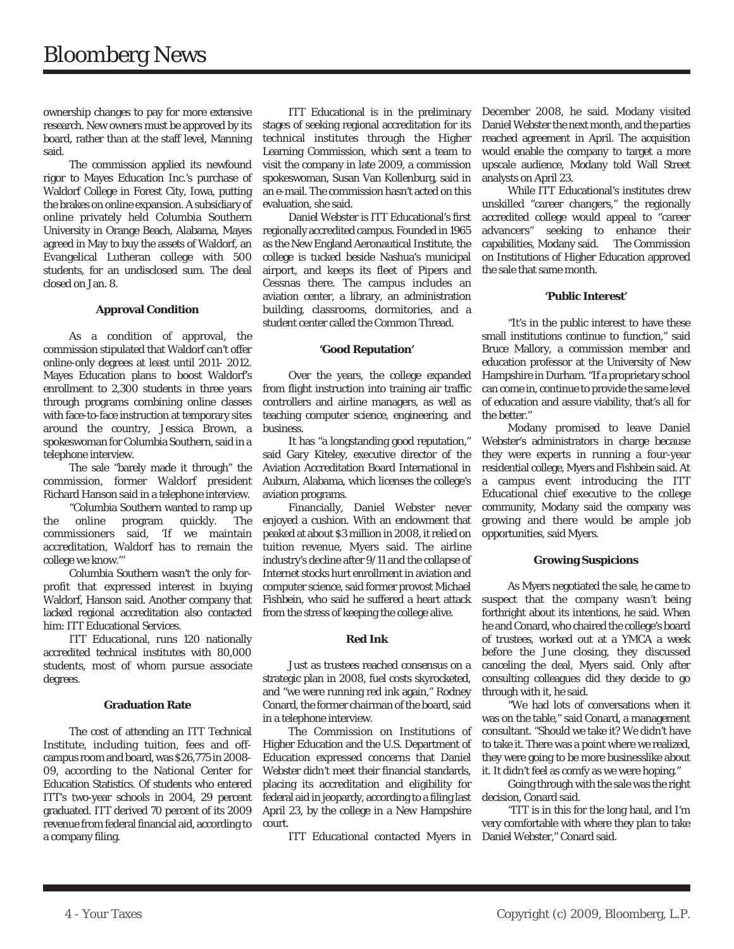ownership changes to pay for more extensive research. New owners must be approved by its board, rather than at the staff level, Manning said.

The commission applied its newfound rigor to Mayes Education Inc.'s purchase of Waldorf College in Forest City, Iowa, putting the brakes on online expansion. A subsidiary of online privately held Columbia Southern University in Orange Beach, Alabama, Mayes agreed in May to buy the assets of Waldorf, an Evangelical Lutheran college with 500 students, for an undisclosed sum. The deal closed on Jan. 8.

# **Approval Condition**

As a condition of approval, the commission stipulated that Waldorf can't offer online-only degrees at least until 2011- 2012. Mayes Education plans to boost Waldorf's enrollment to 2,300 students in three years through programs combining online classes with face-to-face instruction at temporary sites around the country, Jessica Brown, a spokeswoman for Columbia Southern, said in a telephone interview.

The sale "barely made it through" the commission, former Waldorf president Richard Hanson said in a telephone interview.

"Columbia Southern wanted to ramp up the online program quickly. The commissioners said, 'If we maintain accreditation, Waldorf has to remain the college we know.'"

Columbia Southern wasn't the only forprofit that expressed interest in buying Waldorf, Hanson said. Another company that lacked regional accreditation also contacted him: ITT Educational Services.

ITT Educational, runs 120 nationally accredited technical institutes with 80,000 students, most of whom pursue associate degrees.

#### **Graduation Rate**

The cost of attending an ITT Technical Institute, including tuition, fees and offcampus room and board, was \$26,775 in 2008- 09, according to the National Center for Education Statistics. Of students who entered ITT's two-year schools in 2004, 29 percent graduated. ITT derived 70 percent of its 2009 revenue from federal financial aid, according to a company filing.

ITT Educational is in the preliminary stages of seeking regional accreditation for its technical institutes through the Higher Learning Commission, which sent a team to visit the company in late 2009, a commission spokeswoman, Susan Van Kollenburg, said in an e-mail. The commission hasn't acted on this evaluation, she said.

Daniel Webster is ITT Educational's first regionally accredited campus. Founded in 1965 as the New England Aeronautical Institute, the college is tucked beside Nashua's municipal airport, and keeps its fleet of Pipers and Cessnas there. The campus includes an aviation center, a library, an administration building, classrooms, dormitories, and a student center called the Common Thread.

#### **'Good Reputation'**

Over the years, the college expanded from flight instruction into training air traffic controllers and airline managers, as well as teaching computer science, engineering, and business.

It has "a longstanding good reputation," said Gary Kiteley, executive director of the Aviation Accreditation Board International in Auburn, Alabama, which licenses the college's aviation programs.

Financially, Daniel Webster never enjoyed a cushion. With an endowment that peaked at about \$3 million in 2008, it relied on tuition revenue, Myers said. The airline industry's decline after 9/11 and the collapse of Internet stocks hurt enrollment in aviation and computer science, said former provost Michael Fishbein, who said he suffered a heart attack from the stress of keeping the college alive.

#### **Red Ink**

Just as trustees reached consensus on a strategic plan in 2008, fuel costs skyrocketed, and "we were running red ink again," Rodney Conard, the former chairman of the board, said in a telephone interview.

The Commission on Institutions of Higher Education and the U.S. Department of Education expressed concerns that Daniel Webster didn't meet their financial standards, placing its accreditation and eligibility for federal aid in jeopardy, according to a filing last April 23, by the college in a New Hampshire court.

ITT Educational contacted Myers in

December 2008, he said. Modany visited Daniel Webster the next month, and the parties reached agreement in April. The acquisition would enable the company to target a more upscale audience, Modany told Wall Street analysts on April 23.

While ITT Educational's institutes drew unskilled "career changers," the regionally accredited college would appeal to "career advancers" seeking to enhance their capabilities, Modany said. The Commission on Institutions of Higher Education approved the sale that same month.

#### **'Public Interest'**

"It's in the public interest to have these small institutions continue to function," said Bruce Mallory, a commission member and education professor at the University of New Hampshire in Durham. "If a proprietary school can come in, continue to provide the same level of education and assure viability, that's all for the better."

Modany promised to leave Daniel Webster's administrators in charge because they were experts in running a four-year residential college, Myers and Fishbein said. At a campus event introducing the ITT Educational chief executive to the college community, Modany said the company was growing and there would be ample job opportunities, said Myers.

# **Growing Suspicions**

As Myers negotiated the sale, he came to suspect that the company wasn't being forthright about its intentions, he said. When he and Conard, who chaired the college's board of trustees, worked out at a YMCA a week before the June closing, they discussed canceling the deal, Myers said. Only after consulting colleagues did they decide to go through with it, he said.

"We had lots of conversations when it was on the table," said Conard, a management consultant. "Should we take it? We didn't have to take it. There was a point where we realized, they were going to be more businesslike about it. It didn't feel as comfy as we were hoping."

Going through with the sale was the right decision, Conard said.

"ITT is in this for the long haul, and I'm very comfortable with where they plan to take Daniel Webster," Conard said.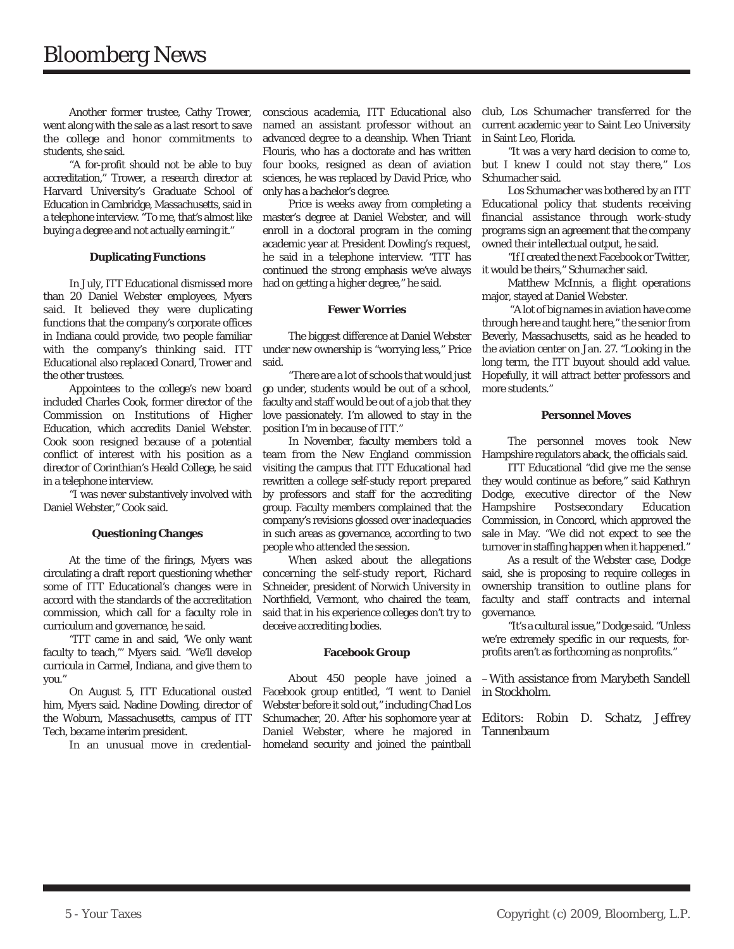Another former trustee, Cathy Trower, went along with the sale as a last resort to save the college and honor commitments to students, she said.

"A for-profit should not be able to buy accreditation," Trower, a research director at Harvard University's Graduate School of Education in Cambridge, Massachusetts, said in a telephone interview. "To me, that's almost like buying a degree and not actually earning it."

### **Duplicating Functions**

In July, ITT Educational dismissed more than 20 Daniel Webster employees, Myers said. It believed they were duplicating functions that the company's corporate offices in Indiana could provide, two people familiar with the company's thinking said. ITT Educational also replaced Conard, Trower and the other trustees.

Appointees to the college's new board included Charles Cook, former director of the Commission on Institutions of Higher Education, which accredits Daniel Webster. Cook soon resigned because of a potential conflict of interest with his position as a director of Corinthian's Heald College, he said in a telephone interview.

"I was never substantively involved with Daniel Webster," Cook said.

#### **Questioning Changes**

At the time of the firings, Myers was circulating a draft report questioning whether some of ITT Educational's changes were in accord with the standards of the accreditation commission, which call for a faculty role in curriculum and governance, he said.

"ITT came in and said, 'We only want faculty to teach,'" Myers said. "We'll develop curricula in Carmel, Indiana, and give them to you."

On August 5, ITT Educational ousted him, Myers said. Nadine Dowling, director of the Woburn, Massachusetts, campus of ITT Tech, became interim president.

In an unusual move in credential-

conscious academia, ITT Educational also named an assistant professor without an advanced degree to a deanship. When Triant Flouris, who has a doctorate and has written four books, resigned as dean of aviation sciences, he was replaced by David Price, who only has a bachelor's degree.

Price is weeks away from completing a master's degree at Daniel Webster, and will enroll in a doctoral program in the coming academic year at President Dowling's request, he said in a telephone interview. "ITT has continued the strong emphasis we've always had on getting a higher degree," he said.

#### **Fewer Worries**

The biggest difference at Daniel Webster under new ownership is "worrying less," Price said.

"There are a lot of schools that would just go under, students would be out of a school, faculty and staff would be out of a job that they love passionately. I'm allowed to stay in the position I'm in because of ITT."

In November, faculty members told a team from the New England commission visiting the campus that ITT Educational had rewritten a college self-study report prepared by professors and staff for the accrediting group. Faculty members complained that the company's revisions glossed over inadequacies in such areas as governance, according to two people who attended the session.

When asked about the allegations concerning the self-study report, Richard Schneider, president of Norwich University in Northfield, Vermont, who chaired the team, said that in his experience colleges don't try to deceive accrediting bodies.

# **Facebook Group**

About 450 people have joined a Facebook group entitled, "I went to Daniel Webster before it sold out," including Chad Los Schumacher, 20. After his sophomore year at Daniel Webster, where he majored in homeland security and joined the paintball

club, Los Schumacher transferred for the current academic year to Saint Leo University in Saint Leo, Florida.

"It was a very hard decision to come to, but I knew I could not stay there," Los Schumacher said.

Los Schumacher was bothered by an ITT Educational policy that students receiving financial assistance through work-study programs sign an agreement that the company owned their intellectual output, he said.

"If I created the next Facebook or Twitter, it would be theirs," Schumacher said.

Matthew McInnis, a flight operations major, stayed at Daniel Webster.

"A lot of big names in aviation have come through here and taught here," the senior from Beverly, Massachusetts, said as he headed to the aviation center on Jan. 27. "Looking in the long term, the ITT buyout should add value. Hopefully, it will attract better professors and more students."

#### **Personnel Moves**

The personnel moves took New Hampshire regulators aback, the officials said.

ITT Educational "did give me the sense they would continue as before," said Kathryn Dodge, executive director of the New Hampshire Postsecondary Education Commission, in Concord, which approved the sale in May. "We did not expect to see the turnover in staffing happen when it happened."

As a result of the Webster case, Dodge said, she is proposing to require colleges in ownership transition to outline plans for faculty and staff contracts and internal governance.

"It's a cultural issue," Dodge said. "Unless we're extremely specific in our requests, forprofits aren't as forthcoming as nonprofits."

–With assistance from Marybeth Sandell in Stockholm.

Editors: Robin D. Schatz, Jeffrey Tannenbaum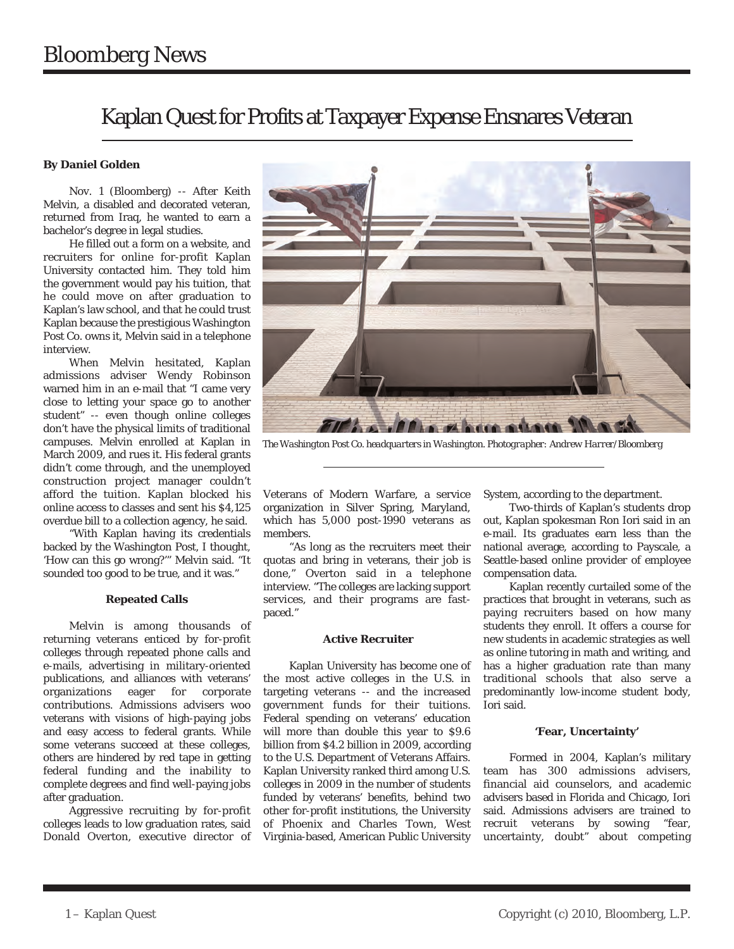# Kaplan Quest for Profits at Taxpayer Expense Ensnares Veteran

# **By Daniel Golden**

Nov. 1 (Bloomberg) -- After Keith Melvin, a disabled and decorated veteran, returned from Iraq, he wanted to earn a bachelor's degree in legal studies.

He filled out a form on a website, and recruiters for online for-profit Kaplan University contacted him. They told him the government would pay his tuition, that he could move on after graduation to Kaplan's law school, and that he could trust Kaplan because the prestigious Washington Post Co. owns it, Melvin said in a telephone interview.

When Melvin hesitated, Kaplan admissions adviser Wendy Robinson warned him in an e-mail that "I came very close to letting your space go to another student" -- even though online colleges don't have the physical limits of traditional campuses. Melvin enrolled at Kaplan in March 2009, and rues it. His federal grants didn't come through, and the unemployed construction project manager couldn't afford the tuition. Kaplan blocked his online access to classes and sent his \$4,125 overdue bill to a collection agency, he said.

"With Kaplan having its credentials backed by the Washington Post, I thought, 'How can this go wrong?'" Melvin said. "It sounded too good to be true, and it was."

#### **Repeated Calls**

Melvin is among thousands of returning veterans enticed by for-profit colleges through repeated phone calls and e-mails, advertising in military-oriented publications, and alliances with veterans' organizations eager for corporate contributions. Admissions advisers woo veterans with visions of high-paying jobs and easy access to federal grants. While some veterans succeed at these colleges, others are hindered by red tape in getting federal funding and the inability to complete degrees and find well-paying jobs after graduation.

Aggressive recruiting by for-profit colleges leads to low graduation rates, said Donald Overton, executive director of



*The Washington Post Co. headquarters in Washington. Photographer: Andrew Harrer/Bloomberg*

Veterans of Modern Warfare, a service organization in Silver Spring, Maryland, which has 5,000 post-1990 veterans as members.

"As long as the recruiters meet their quotas and bring in veterans, their job is done," Overton said in a telephone interview. "The colleges are lacking support services, and their programs are fastpaced."

# **Active Recruiter**

Kaplan University has become one of the most active colleges in the U.S. in targeting veterans -- and the increased government funds for their tuitions. Federal spending on veterans' education will more than double this year to \$9.6 billion from \$4.2 billion in 2009, according to the U.S. Department of Veterans Affairs. Kaplan University ranked third among U.S. colleges in 2009 in the number of students funded by veterans' benefits, behind two other for-profit institutions, the University of Phoenix and Charles Town, West Virginia-based, American Public University System, according to the department.

Two-thirds of Kaplan's students drop out, Kaplan spokesman Ron Iori said in an e-mail. Its graduates earn less than the national average, according to Payscale, a Seattle-based online provider of employee compensation data.

Kaplan recently curtailed some of the practices that brought in veterans, such as paying recruiters based on how many students they enroll. It offers a course for new students in academic strategies as well as online tutoring in math and writing, and has a higher graduation rate than many traditional schools that also serve a predominantly low-income student body, Iori said.

#### **'Fear, Uncertainty'**

Formed in 2004, Kaplan's military team has 300 admissions advisers, financial aid counselors, and academic advisers based in Florida and Chicago, Iori said. Admissions advisers are trained to recruit veterans by sowing "fear, uncertainty, doubt" about competing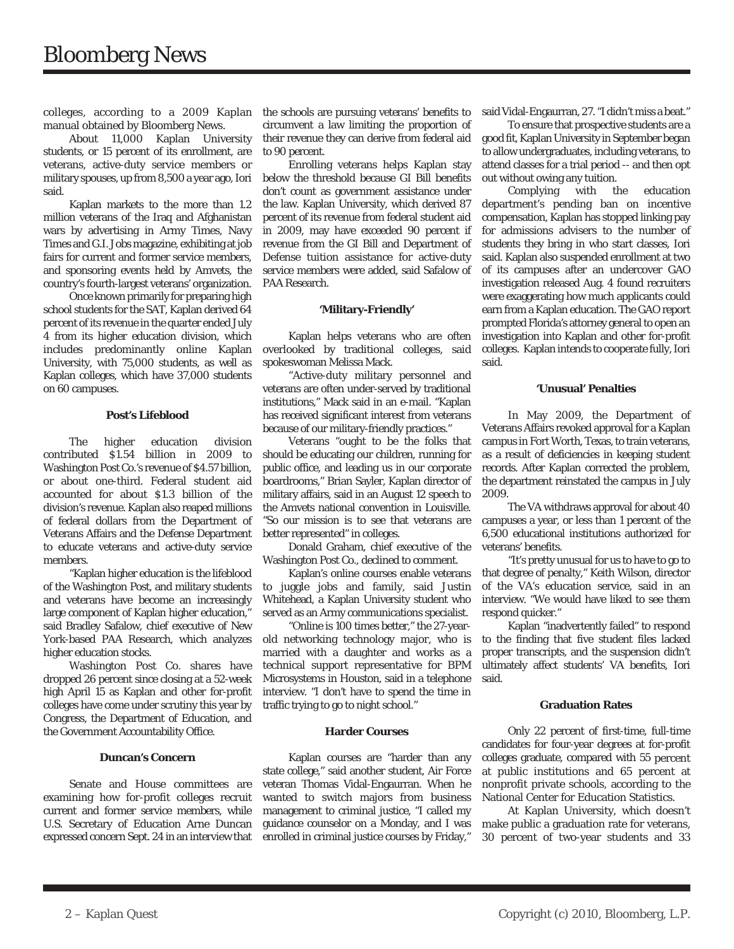colleges, according to a 2009 Kaplan manual obtained by Bloomberg News.

About 11,000 Kaplan University students, or 15 percent of its enrollment, are veterans, active-duty service members or military spouses, up from 8,500 a year ago, Iori said.

Kaplan markets to the more than 1.2 million veterans of the Iraq and Afghanistan wars by advertising in Army Times, Navy Times and G.I. Jobs magazine, exhibiting at job fairs for current and former service members, and sponsoring events held by Amvets, the country's fourth-largest veterans' organization.

Once known primarily for preparing high school students for the SAT, Kaplan derived 64 percent of its revenue in the quarter ended July 4 from its higher education division, which includes predominantly online Kaplan University, with 75,000 students, as well as Kaplan colleges, which have 37,000 students on 60 campuses.

# **Post's Lifeblood**

The higher education division contributed \$1.54 billion in 2009 to Washington Post Co.'s revenue of \$4.57 billion, or about one-third. Federal student aid accounted for about \$1.3 billion of the division's revenue. Kaplan also reaped millions of federal dollars from the Department of Veterans Affairs and the Defense Department to educate veterans and active-duty service members.

"Kaplan higher education is the lifeblood of the Washington Post, and military students and veterans have become an increasingly large component of Kaplan higher education," said Bradley Safalow, chief executive of New York-based PAA Research, which analyzes higher education stocks.

Washington Post Co. shares have dropped 26 percent since closing at a 52-week high April 15 as Kaplan and other for-profit colleges have come under scrutiny this year by Congress, the Department of Education, and the Government Accountability Office.

#### **Duncan's Concern**

Senate and House committees are examining how for-profit colleges recruit current and former service members, while U.S. Secretary of Education Arne Duncan expressed concern Sept. 24 in an interview that

the schools are pursuing veterans' benefits to circumvent a law limiting the proportion of their revenue they can derive from federal aid to 90 percent.

Enrolling veterans helps Kaplan stay below the threshold because GI Bill benefits don't count as government assistance under the law. Kaplan University, which derived 87 percent of its revenue from federal student aid in 2009, may have exceeded 90 percent if revenue from the GI Bill and Department of Defense tuition assistance for active-duty service members were added, said Safalow of PAA Research.

#### **'Military-Friendly'**

Kaplan helps veterans who are often overlooked by traditional colleges, said spokeswoman Melissa Mack.

"Active-duty military personnel and veterans are often under-served by traditional institutions," Mack said in an e-mail. "Kaplan has received significant interest from veterans because of our military-friendly practices."

Veterans "ought to be the folks that should be educating our children, running for public office, and leading us in our corporate boardrooms," Brian Sayler, Kaplan director of military affairs, said in an August 12 speech to the Amvets national convention in Louisville. "So our mission is to see that veterans are better represented" in colleges.

Donald Graham, chief executive of the Washington Post Co., declined to comment.

Kaplan's online courses enable veterans to juggle jobs and family, said Justin Whitehead, a Kaplan University student who served as an Army communications specialist.

"Online is 100 times better," the 27-yearold networking technology major, who is married with a daughter and works as a technical support representative for BPM Microsystems in Houston, said in a telephone interview. "I don't have to spend the time in traffic trying to go to night school."

#### **Harder Courses**

Kaplan courses are "harder than any state college," said another student, Air Force veteran Thomas Vidal-Engaurran. When he wanted to switch majors from business management to criminal justice, "I called my guidance counselor on a Monday, and I was enrolled in criminal justice courses by Friday,"

said Vidal-Engaurran, 27. "I didn't miss a beat."

To ensure that prospective students are a good fit, Kaplan University in September began to allow undergraduates, including veterans, to attend classes for a trial period -- and then opt out without owing any tuition.

Complying with the education department's pending ban on incentive compensation, Kaplan has stopped linking pay for admissions advisers to the number of students they bring in who start classes, Iori said. Kaplan also suspended enrollment at two of its campuses after an undercover GAO investigation released Aug. 4 found recruiters were exaggerating how much applicants could earn from a Kaplan education. The GAO report prompted Florida's attorney general to open an investigation into Kaplan and other for-profit colleges. Kaplan intends to cooperate fully, Iori said.

#### **'Unusual' Penalties**

In May 2009, the Department of Veterans Affairs revoked approval for a Kaplan campus in Fort Worth, Texas, to train veterans, as a result of deficiencies in keeping student records. After Kaplan corrected the problem, the department reinstated the campus in July 2009.

The VA withdraws approval for about 40 campuses a year, or less than 1 percent of the 6,500 educational institutions authorized for veterans' benefits.

"It's pretty unusual for us to have to go to that degree of penalty," Keith Wilson, director of the VA's education service, said in an interview. "We would have liked to see them respond quicker."

Kaplan "inadvertently failed" to respond to the finding that five student files lacked proper transcripts, and the suspension didn't ultimately affect students' VA benefits, Iori said.

#### **Graduation Rates**

Only 22 percent of first-time, full-time candidates for four-year degrees at for-profit colleges graduate, compared with 55 percent at public institutions and 65 percent at nonprofit private schools, according to the National Center for Education Statistics.

At Kaplan University, which doesn't make public a graduation rate for veterans, 30 percent of two-year students and 33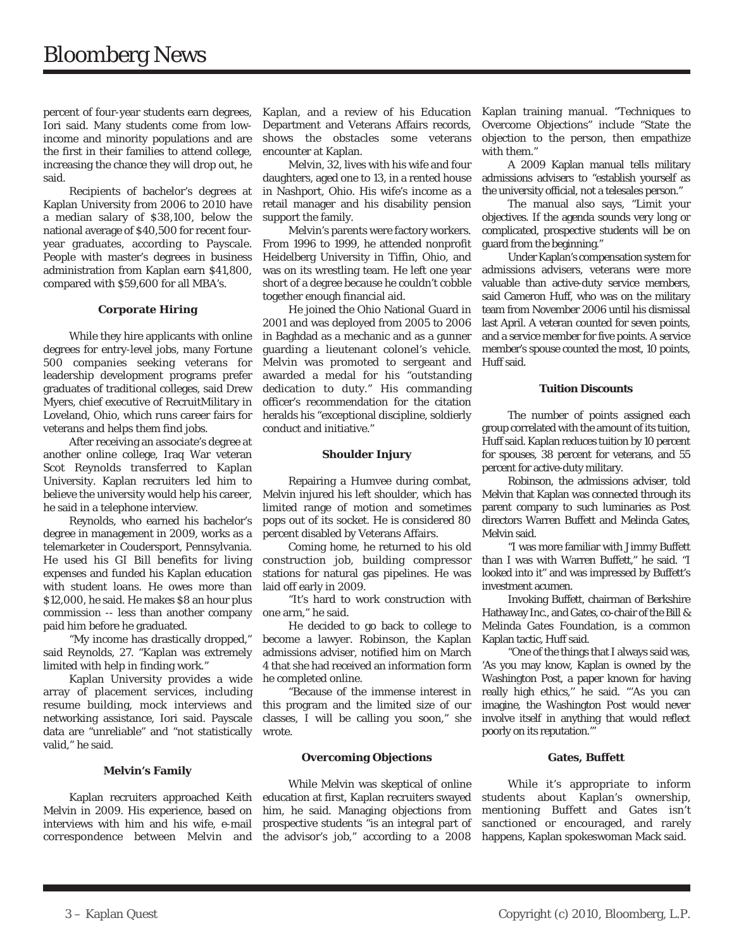percent of four-year students earn degrees, Iori said. Many students come from lowincome and minority populations and are the first in their families to attend college, increasing the chance they will drop out, he said.

Recipients of bachelor's degrees at Kaplan University from 2006 to 2010 have a median salary of \$38,100, below the national average of \$40,500 for recent fouryear graduates, according to Payscale. People with master's degrees in business administration from Kaplan earn \$41,800, compared with \$59,600 for all MBA's.

# **Corporate Hiring**

While they hire applicants with online degrees for entry-level jobs, many Fortune 500 companies seeking veterans for leadership development programs prefer graduates of traditional colleges, said Drew Myers, chief executive of RecruitMilitary in Loveland, Ohio, which runs career fairs for veterans and helps them find jobs.

After receiving an associate's degree at another online college, Iraq War veteran Scot Reynolds transferred to Kaplan University. Kaplan recruiters led him to believe the university would help his career, he said in a telephone interview.

Reynolds, who earned his bachelor's degree in management in 2009, works as a telemarketer in Coudersport, Pennsylvania. He used his GI Bill benefits for living expenses and funded his Kaplan education with student loans. He owes more than \$12,000, he said. He makes \$8 an hour plus commission -- less than another company paid him before he graduated.

"My income has drastically dropped," said Reynolds, 27. "Kaplan was extremely limited with help in finding work."

Kaplan University provides a wide array of placement services, including resume building, mock interviews and networking assistance, Iori said. Payscale data are "unreliable" and "not statistically valid," he said.

#### **Melvin's Family**

Kaplan recruiters approached Keith Melvin in 2009. His experience, based on interviews with him and his wife, e-mail correspondence between Melvin and

Kaplan, and a review of his Education Department and Veterans Affairs records, shows the obstacles some veterans encounter at Kaplan.

Melvin, 32, lives with his wife and four daughters, aged one to 13, in a rented house in Nashport, Ohio. His wife's income as a retail manager and his disability pension support the family.

Melvin's parents were factory workers. From 1996 to 1999, he attended nonprofit Heidelberg University in Tiffin, Ohio, and was on its wrestling team. He left one year short of a degree because he couldn't cobble together enough financial aid.

He joined the Ohio National Guard in 2001 and was deployed from 2005 to 2006 in Baghdad as a mechanic and as a gunner guarding a lieutenant colonel's vehicle. Melvin was promoted to sergeant and awarded a medal for his "outstanding dedication to duty." His commanding officer's recommendation for the citation heralds his "exceptional discipline, soldierly conduct and initiative."

#### **Shoulder Injury**

Repairing a Humvee during combat, Melvin injured his left shoulder, which has limited range of motion and sometimes pops out of its socket. He is considered 80 percent disabled by Veterans Affairs.

Coming home, he returned to his old construction job, building compressor stations for natural gas pipelines. He was laid off early in 2009.

"It's hard to work construction with one arm," he said.

He decided to go back to college to become a lawyer. Robinson, the Kaplan admissions adviser, notified him on March 4 that she had received an information form he completed online.

"Because of the immense interest in this program and the limited size of our classes, I will be calling you soon," she wrote.

#### **Overcoming Objections**

While Melvin was skeptical of online education at first, Kaplan recruiters swayed him, he said. Managing objections from prospective students "is an integral part of the advisor's job," according to a 2008

Kaplan training manual. "Techniques to Overcome Objections" include "State the objection to the person, then empathize with them."

A 2009 Kaplan manual tells military admissions advisers to "establish yourself as the university official, not a telesales person."

The manual also says, "Limit your objectives. If the agenda sounds very long or complicated, prospective students will be on guard from the beginning."

Under Kaplan's compensation system for admissions advisers, veterans were more valuable than active-duty service members, said Cameron Huff, who was on the military team from November 2006 until his dismissal last April. A veteran counted for seven points, and a service member for five points. A service member's spouse counted the most, 10 points, Huff said.

#### **Tuition Discounts**

The number of points assigned each group correlated with the amount of its tuition, Huff said. Kaplan reduces tuition by 10 percent for spouses, 38 percent for veterans, and 55 percent for active-duty military.

Robinson, the admissions adviser, told Melvin that Kaplan was connected through its parent company to such luminaries as Post directors Warren Buffett and Melinda Gates, Melvin said.

"I was more familiar with Jimmy Buffett than I was with Warren Buffett," he said. "I looked into it" and was impressed by Buffett's investment acumen.

Invoking Buffett, chairman of Berkshire Hathaway Inc., and Gates, co-chair of the Bill & Melinda Gates Foundation, is a common Kaplan tactic, Huff said.

"One of the things that I always said was, 'As you may know, Kaplan is owned by the Washington Post, a paper known for having really high ethics," he said. "As you can imagine, the Washington Post would never involve itself in anything that would reflect poorly on its reputation.'"

# **Gates, Buffett**

While it's appropriate to inform students about Kaplan's ownership, mentioning Buffett and Gates isn't sanctioned or encouraged, and rarely happens, Kaplan spokeswoman Mack said.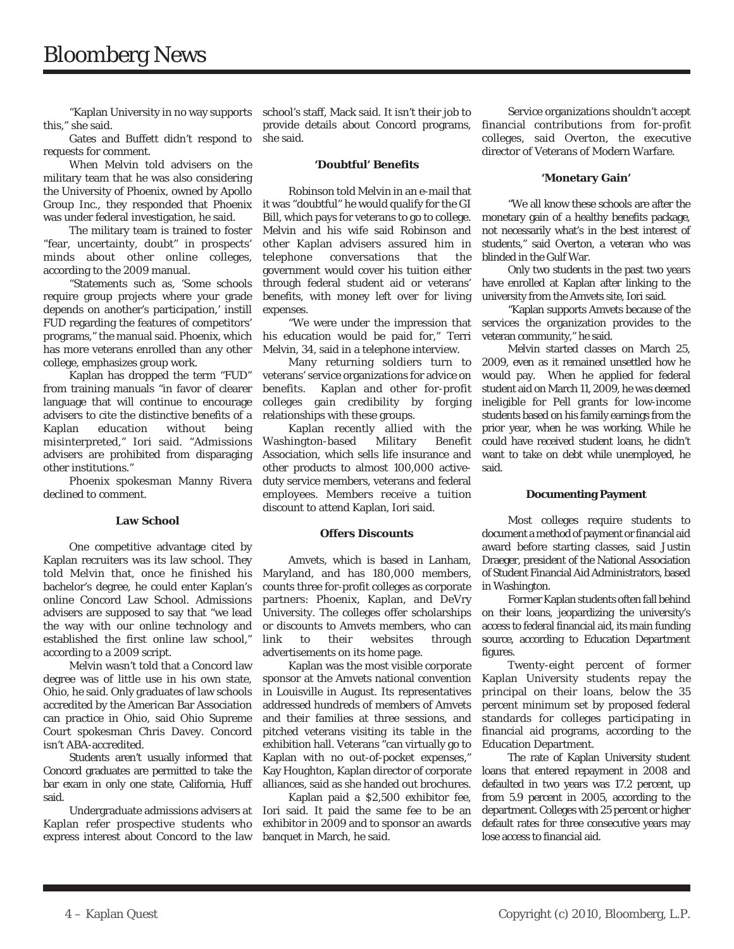"Kaplan University in no way supports this," she said.

Gates and Buffett didn't respond to requests for comment.

When Melvin told advisers on the military team that he was also considering the University of Phoenix, owned by Apollo Group Inc., they responded that Phoenix was under federal investigation, he said.

The military team is trained to foster "fear, uncertainty, doubt" in prospects' minds about other online colleges, according to the 2009 manual.

"Statements such as, 'Some schools require group projects where your grade depends on another's participation,' instill FUD regarding the features of competitors' programs," the manual said. Phoenix, which has more veterans enrolled than any other college, emphasizes group work.

Kaplan has dropped the term "FUD" from training manuals "in favor of clearer language that will continue to encourage advisers to cite the distinctive benefits of a Kaplan education without being misinterpreted," Iori said. "Admissions advisers are prohibited from disparaging other institutions."

Phoenix spokesman Manny Rivera declined to comment.

#### **Law School**

One competitive advantage cited by Kaplan recruiters was its law school. They told Melvin that, once he finished his bachelor's degree, he could enter Kaplan's online Concord Law School. Admissions advisers are supposed to say that "we lead the way with our online technology and established the first online law school," according to a 2009 script.

Melvin wasn't told that a Concord law degree was of little use in his own state, Ohio, he said. Only graduates of law schools accredited by the American Bar Association can practice in Ohio, said Ohio Supreme Court spokesman Chris Davey. Concord isn't ABA-accredited.

Students aren't usually informed that Concord graduates are permitted to take the bar exam in only one state, California, Huff said.

Undergraduate admissions advisers at Kaplan refer prospective students who express interest about Concord to the law

school's staff, Mack said. It isn't their job to provide details about Concord programs, she said.

# **'Doubtful' Benefits**

Robinson told Melvin in an e-mail that it was "doubtful" he would qualify for the GI Bill, which pays for veterans to go to college. Melvin and his wife said Robinson and other Kaplan advisers assured him in telephone conversations that the government would cover his tuition either through federal student aid or veterans' benefits, with money left over for living expenses.

"We were under the impression that his education would be paid for," Terri Melvin, 34, said in a telephone interview.

Many returning soldiers turn to veterans' service organizations for advice on benefits. Kaplan and other for-profit colleges gain credibility by forging relationships with these groups.

Kaplan recently allied with the Washington-based Military Benefit Association, which sells life insurance and other products to almost 100,000 activeduty service members, veterans and federal employees. Members receive a tuition discount to attend Kaplan, Iori said.

#### **Offers Discounts**

Amvets, which is based in Lanham, Maryland, and has 180,000 members, counts three for-profit colleges as corporate partners: Phoenix, Kaplan, and DeVry University. The colleges offer scholarships or discounts to Amvets members, who can link to their websites through advertisements on its home page.

Kaplan was the most visible corporate sponsor at the Amvets national convention in Louisville in August. Its representatives addressed hundreds of members of Amvets and their families at three sessions, and pitched veterans visiting its table in the exhibition hall. Veterans "can virtually go to Kaplan with no out-of-pocket expenses," Kay Houghton, Kaplan director of corporate alliances, said as she handed out brochures.

Kaplan paid a \$2,500 exhibitor fee, Iori said. It paid the same fee to be an exhibitor in 2009 and to sponsor an awards banquet in March, he said.

Service organizations shouldn't accept financial contributions from for-profit colleges, said Overton, the executive director of Veterans of Modern Warfare.

# **'Monetary Gain'**

"We all know these schools are after the monetary gain of a healthy benefits package, not necessarily what's in the best interest of students," said Overton, a veteran who was blinded in the Gulf War.

Only two students in the past two years have enrolled at Kaplan after linking to the university from the Amvets site, Iori said.

"Kaplan supports Amvets because of the services the organization provides to the veteran community," he said.

Melvin started classes on March 25, 2009, even as it remained unsettled how he would pay. When he applied for federal student aid on March 11, 2009, he was deemed ineligible for Pell grants for low-income students based on his family earnings from the prior year, when he was working. While he could have received student loans, he didn't want to take on debt while unemployed, he said.

# **Documenting Payment**

Most colleges require students to document a method of payment or financial aid award before starting classes, said Justin Draeger, president of the National Association of Student Financial Aid Administrators, based in Washington.

Former Kaplan students often fall behind on their loans, jeopardizing the university's access to federal financial aid, its main funding source, according to Education Department figures.

Twenty-eight percent of former Kaplan University students repay the principal on their loans, below the 35 percent minimum set by proposed federal standards for colleges participating in financial aid programs, according to the Education Department.

The rate of Kaplan University student loans that entered repayment in 2008 and defaulted in two years was 17.2 percent, up from 5.9 percent in 2005, according to the department. Colleges with 25 percent or higher default rates for three consecutive years may lose access to financial aid.